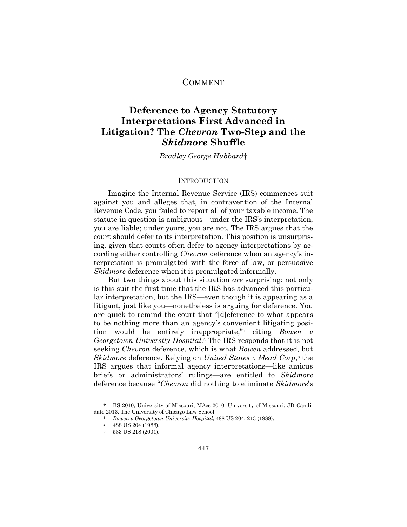# COMMENT

# **Deference to Agency Statutory Interpretations First Advanced in Litigation? The** *Chevron* **Two-Step and the**  *Skidmore* **Shuffle**

*Bradley George Hubbard*†

### INTRODUCTION

Imagine the Internal Revenue Service (IRS) commences suit against you and alleges that, in contravention of the Internal Revenue Code, you failed to report all of your taxable income. The statute in question is ambiguous—under the IRS's interpretation, you are liable; under yours, you are not. The IRS argues that the court should defer to its interpretation. This position is unsurprising, given that courts often defer to agency interpretations by according either controlling *Chevron* deference when an agency's interpretation is promulgated with the force of law, or persuasive *Skidmore* deference when it is promulgated informally.

But two things about this situation *are* surprising: not only is this suit the first time that the IRS has advanced this particular interpretation, but the IRS—even though it is appearing as a litigant, just like you—nonetheless is arguing for deference. You are quick to remind the court that "[d]eference to what appears to be nothing more than an agency's convenient litigating position would be entirely inappropriate,"1 citing *Bowen v Georgetown University Hospital*.2 The IRS responds that it is not seeking *Chevron* deference, which is what *Bowen* addressed, but *Skidmore* deference. Relying on *United States v Mead Corp*,3 the IRS argues that informal agency interpretations—like amicus briefs or administrators' rulings—are entitled to *Skidmore* deference because "*Chevron* did nothing to eliminate *Skidmore*'s

<sup>†</sup> BS 2010, University of Missouri; MAcc 2010, University of Missouri; JD Candidate 2013, The University of Chicago Law School.

<sup>1</sup> *Bowen v Georgetown University Hospital*, 488 US 204, 213 (1988).

<sup>2 488</sup> US 204 (1988).

<sup>3 533</sup> US 218 (2001).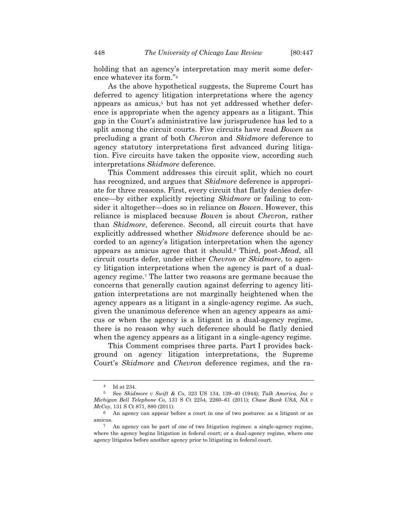holding that an agency's interpretation may merit some deference whatever its form."4

As the above hypothetical suggests, the Supreme Court has deferred to agency litigation interpretations where the agency appears as amicus,5 but has not yet addressed whether deference is appropriate when the agency appears as a litigant. This gap in the Court's administrative law jurisprudence has led to a split among the circuit courts. Five circuits have read *Bowen* as precluding a grant of both *Chevron* and *Skidmore* deference to agency statutory interpretations first advanced during litigation. Five circuits have taken the opposite view, according such interpretations *Skidmore* deference.

This Comment addresses this circuit split, which no court has recognized, and argues that *Skidmore* deference is appropriate for three reasons. First, every circuit that flatly denies deference—by either explicitly rejecting *Skidmore* or failing to consider it altogether—does so in reliance on *Bowen*. However, this reliance is misplaced because *Bowen* is about *Chevron*, rather than *Skidmore*, deference. Second, all circuit courts that have explicitly addressed whether *Skidmore* deference should be accorded to an agency's litigation interpretation when the agency appears as amicus agree that it should.6 Third, post-*Mead*, all circuit courts defer, under either *Chevron* or *Skidmore*, to agency litigation interpretations when the agency is part of a dualagency regime.7 The latter two reasons are germane because the concerns that generally caution against deferring to agency litigation interpretations are not marginally heightened when the agency appears as a litigant in a single-agency regime. As such, given the unanimous deference when an agency appears as amicus or when the agency is a litigant in a dual-agency regime, there is no reason why such deference should be flatly denied when the agency appears as a litigant in a single-agency regime.

This Comment comprises three parts. Part I provides background on agency litigation interpretations, the Supreme Court's *Skidmore* and *Chevron* deference regimes, and the ra-

<sup>4</sup> Id at 234.

<sup>5</sup> See *Skidmore v Swift & Co*, 323 US 134, 139–40 (1944); *Talk America, Inc v Michigan Bell Telephone Co*, 131 S Ct 2254, 2260–61 (2011); *Chase Bank USA, NA v McCoy*, 131 S Ct 871, 880 (2011).

<sup>6</sup> An agency can appear before a court in one of two postures: as a litigant or as amicus.

<sup>7</sup> An agency can be part of one of two litigation regimes: a single-agency regime, where the agency begins litigation in federal court; or a dual-agency regime, where one agency litigates before another agency prior to litigating in federal court.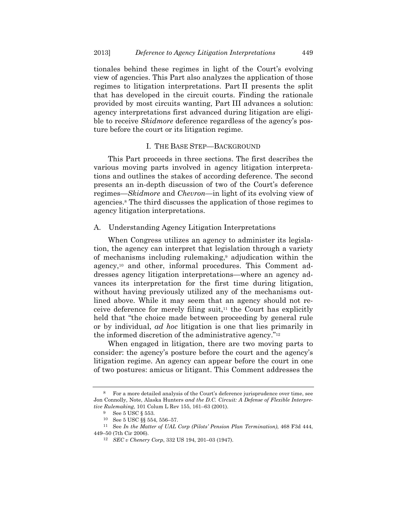tionales behind these regimes in light of the Court's evolving view of agencies. This Part also analyzes the application of those regimes to litigation interpretations. Part II presents the split that has developed in the circuit courts. Finding the rationale provided by most circuits wanting, Part III advances a solution: agency interpretations first advanced during litigation are eligible to receive *Skidmore* deference regardless of the agency's posture before the court or its litigation regime.

# I. THE BASE STEP—BACKGROUND

This Part proceeds in three sections. The first describes the various moving parts involved in agency litigation interpretations and outlines the stakes of according deference. The second presents an in-depth discussion of two of the Court's deference regimes—*Skidmore* and *Chevron*—in light of its evolving view of agencies.8 The third discusses the application of those regimes to agency litigation interpretations.

## A. Understanding Agency Litigation Interpretations

When Congress utilizes an agency to administer its legislation, the agency can interpret that legislation through a variety of mechanisms including rulemaking,9 adjudication within the agency,10 and other, informal procedures. This Comment addresses agency litigation interpretations—where an agency advances its interpretation for the first time during litigation, without having previously utilized any of the mechanisms outlined above. While it may seem that an agency should not receive deference for merely filing suit, $\mathbb{1}^1$  the Court has explicitly held that "the choice made between proceeding by general rule or by individual, *ad hoc* litigation is one that lies primarily in the informed discretion of the administrative agency."12

When engaged in litigation, there are two moving parts to consider: the agency's posture before the court and the agency's litigation regime. An agency can appear before the court in one of two postures: amicus or litigant. This Comment addresses the

<sup>8</sup> For a more detailed analysis of the Court's deference jurisprudence over time, see Jon Connolly, Note, Alaska Hunters *and the D.C. Circuit: A Defense of Flexible Interpretive Rulemaking*, 101 Colum L Rev 155, 161–63 (2001).

<sup>9</sup> See 5 USC § 553.

<sup>10</sup> See 5 USC §§ 554, 556–57.

<sup>11</sup> See *In the Matter of UAL Corp (Pilots' Pension Plan Termination)*, 468 F3d 444, 449–50 (7th Cir 2006).

<sup>12</sup> *SEC v Chenery Corp*, 332 US 194, 201–03 (1947).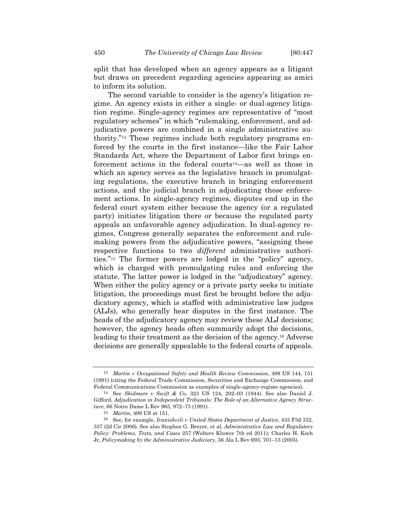split that has developed when an agency appears as a litigant but draws on precedent regarding agencies appearing as amici to inform its solution.

The second variable to consider is the agency's litigation regime. An agency exists in either a single- or dual-agency litigation regime. Single-agency regimes are representative of "most regulatory schemes" in which "rulemaking, enforcement, and adjudicative powers are combined in a single administrative authority."13 These regimes include both regulatory programs enforced by the courts in the first instance—like the Fair Labor Standards Act, where the Department of Labor first brings enforcement actions in the federal courts<sup>14</sup>—as well as those in which an agency serves as the legislative branch in promulgating regulations, the executive branch in bringing enforcement actions, and the judicial branch in adjudicating those enforcement actions. In single-agency regimes, disputes end up in the federal court system either because the agency (or a regulated party) initiates litigation there or because the regulated party appeals an unfavorable agency adjudication. In dual-agency regimes, Congress generally separates the enforcement and rulemaking powers from the adjudicative powers, "assigning these respective functions to two *different* administrative authorities."15 The former powers are lodged in the "policy" agency, which is charged with promulgating rules and enforcing the statute. The latter power is lodged in the "adjudicatory" agency. When either the policy agency or a private party seeks to initiate litigation, the proceedings must first be brought before the adjudicatory agency, which is staffed with administrative law judges (ALJs), who generally hear disputes in the first instance. The heads of the adjudicatory agency may review these ALJ decisions; however, the agency heads often summarily adopt the decisions, leading to their treatment as the decision of the agency.16 Adverse decisions are generally appealable to the federal courts of appeals.

<sup>13</sup> *Martin v Occupational Safety and Health Review Commission*, 499 US 144, 151 (1991) (citing the Federal Trade Commission, Securities and Exchange Commission, and Federal Communications Commission as examples of single-agency-regime agencies).

<sup>14</sup> See *Skidmore v Swift & Co*, 323 US 124, 202–03 (1944). See also Daniel J. Gifford, *Adjudication in Independent Tribunals: The Role of an Alternative Agency Structure*, 66 Notre Dame L Rev 965, 972–73 (1991).

<sup>&</sup>lt;sup>15</sup> *Martin*, 499 US at 151.<br><sup>16</sup> See, for example, *Ivanishvili v United States Department of Justice*, 433 F3d 332, 337 (2d Cir 2006). See also Stephen G. Breyer, et al, *Administrative Law and Regulatory Policy: Problems, Texts, and Cases* 257 (Wolters Kluwer 7th ed 2011); Charles H. Koch Jr, *Policymaking by the Administrative Judiciary*, 56 Ala L Rev 693, 701–13 (2005).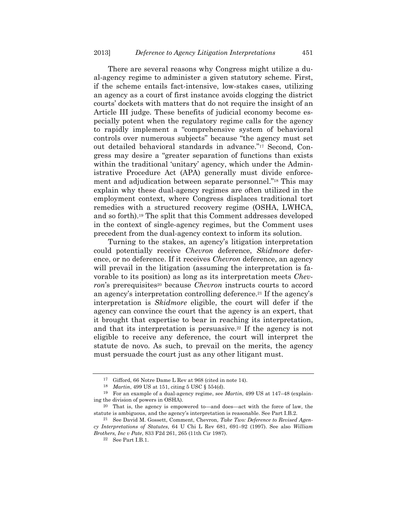There are several reasons why Congress might utilize a dual-agency regime to administer a given statutory scheme. First, if the scheme entails fact-intensive, low-stakes cases, utilizing an agency as a court of first instance avoids clogging the district courts' dockets with matters that do not require the insight of an Article III judge. These benefits of judicial economy become especially potent when the regulatory regime calls for the agency to rapidly implement a "comprehensive system of behavioral controls over numerous subjects" because "the agency must set out detailed behavioral standards in advance."17 Second, Congress may desire a "greater separation of functions than exists within the traditional 'unitary' agency, which under the Administrative Procedure Act (APA) generally must divide enforcement and adjudication between separate personnel."18 This may explain why these dual-agency regimes are often utilized in the employment context, where Congress displaces traditional tort remedies with a structured recovery regime (OSHA, LWHCA, and so forth).19 The split that this Comment addresses developed in the context of single-agency regimes, but the Comment uses precedent from the dual-agency context to inform its solution.

Turning to the stakes, an agency's litigation interpretation could potentially receive *Chevron* deference, *Skidmore* deference, or no deference. If it receives *Chevron* deference, an agency will prevail in the litigation (assuming the interpretation is favorable to its position) as long as its interpretation meets *Chevron*'s prerequisites<sup>20</sup> because *Chevron* instructs courts to accord an agency's interpretation controlling deference.21 If the agency's interpretation is *Skidmore* eligible, the court will defer if the agency can convince the court that the agency is an expert, that it brought that expertise to bear in reaching its interpretation, and that its interpretation is persuasive.22 If the agency is not eligible to receive any deference, the court will interpret the statute de novo. As such, to prevail on the merits, the agency must persuade the court just as any other litigant must.

<sup>17</sup> Gifford, 66 Notre Dame L Rev at 968 (cited in note 14).

<sup>18</sup> *Martin*, 499 US at 151, citing 5 USC § 554(d).

<sup>19</sup> For an example of a dual-agency regime, see *Martin*, 499 US at 147–48 (explaining the division of powers in OSHA).

<sup>20</sup> That is, the agency is empowered to—and does—act with the force of law, the statute is ambiguous, and the agency's interpretation is reasonable. See Part I.B.2.

<sup>21</sup> See David M. Gossett, Comment, Chevron, *Take Two: Deference to Revised Agency Interpretations of Statutes*, 64 U Chi L Rev 681, 691–92 (1997). See also *William Brothers, Inc v Pate*, 833 F2d 261, 265 (11th Cir 1987).

<sup>22</sup> See Part I.B.1.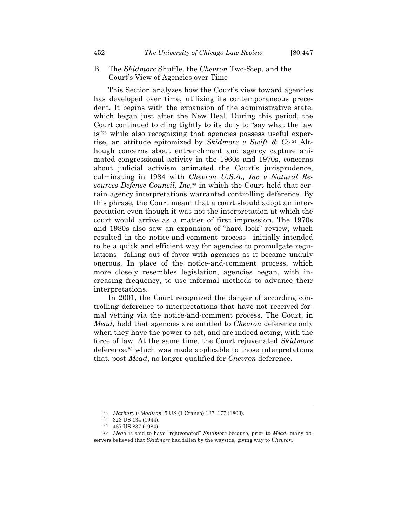This Section analyzes how the Court's view toward agencies has developed over time, utilizing its contemporaneous precedent. It begins with the expansion of the administrative state, which began just after the New Deal. During this period, the Court continued to cling tightly to its duty to "say what the law is"23 while also recognizing that agencies possess useful expertise, an attitude epitomized by *Skidmore v Swift & Co*.24 Although concerns about entrenchment and agency capture animated congressional activity in the 1960s and 1970s, concerns about judicial activism animated the Court's jurisprudence, culminating in 1984 with *Chevron U.S.A., Inc v Natural Resources Defense Council, Inc*,25 in which the Court held that certain agency interpretations warranted controlling deference. By this phrase, the Court meant that a court should adopt an interpretation even though it was not the interpretation at which the court would arrive as a matter of first impression. The 1970s and 1980s also saw an expansion of "hard look" review, which resulted in the notice-and-comment process—initially intended to be a quick and efficient way for agencies to promulgate regulations—falling out of favor with agencies as it became unduly onerous. In place of the notice-and-comment process, which more closely resembles legislation, agencies began, with increasing frequency, to use informal methods to advance their interpretations.

In 2001, the Court recognized the danger of according controlling deference to interpretations that have not received formal vetting via the notice-and-comment process. The Court, in *Mead*, held that agencies are entitled to *Chevron* deference only when they have the power to act, and are indeed acting, with the force of law. At the same time, the Court rejuvenated *Skidmore* deference,26 which was made applicable to those interpretations that, post-*Mead*, no longer qualified for *Chevron* deference.

<sup>23</sup> *Marbury v Madison*, 5 US (1 Cranch) 137, 177 (1803). 24 323 US 134 (1944).

<sup>25 467</sup> US 837 (1984).

<sup>26</sup> *Mead* is said to have "rejuvenated" *Skidmore* because, prior to *Mead*, many observers believed that *Skidmore* had fallen by the wayside, giving way to *Chevron*.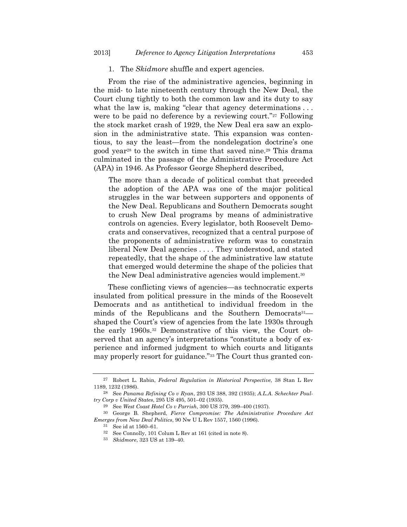## 1. The *Skidmore* shuffle and expert agencies.

From the rise of the administrative agencies, beginning in the mid- to late nineteenth century through the New Deal, the Court clung tightly to both the common law and its duty to say what the law is, making "clear that agency determinations... were to be paid no deference by a reviewing court."<sup>27</sup> Following the stock market crash of 1929, the New Deal era saw an explosion in the administrative state. This expansion was contentious, to say the least—from the nondelegation doctrine's one good year28 to the switch in time that saved nine.29 This drama culminated in the passage of the Administrative Procedure Act (APA) in 1946. As Professor George Shepherd described,

The more than a decade of political combat that preceded the adoption of the APA was one of the major political struggles in the war between supporters and opponents of the New Deal. Republicans and Southern Democrats sought to crush New Deal programs by means of administrative controls on agencies. Every legislator, both Roosevelt Democrats and conservatives, recognized that a central purpose of the proponents of administrative reform was to constrain liberal New Deal agencies . . . . They understood, and stated repeatedly, that the shape of the administrative law statute that emerged would determine the shape of the policies that the New Deal administrative agencies would implement.30

These conflicting views of agencies—as technocratic experts insulated from political pressure in the minds of the Roosevelt Democrats and as antithetical to individual freedom in the minds of the Republicans and the Southern Democrats<sup>31</sup> shaped the Court's view of agencies from the late 1930s through the early 1960s.32 Demonstrative of this view, the Court observed that an agency's interpretations "constitute a body of experience and informed judgment to which courts and litigants may properly resort for guidance."33 The Court thus granted con-

<sup>27</sup> Robert L. Rabin, *Federal Regulation in Historical Perspective*, 38 Stan L Rev 1189, 1232 (1986).

<sup>28</sup> See *Panama Refining Co v Ryan*, 293 US 388, 392 (1935); *A.L.A. Schechter Poultry Corp v United States*, 295 US 495, 501–02 (1935).

<sup>29</sup> See *West Coast Hotel Co v Parrish*, 300 US 379, 399–400 (1937).

<sup>30</sup> George B. Shepherd, *Fierce Compromise: The Administrative Procedure Act Emerges from New Deal Politics*, 90 Nw U L Rev 1557, 1560 (1996).

 $^{31}$  See id at 1560–61.<br> $^{32}$  See Connelly 101.

<sup>32</sup> See Connolly, 101 Colum L Rev at 161 (cited in note 8). 33 *Skidmore*, 323 US at 139–40.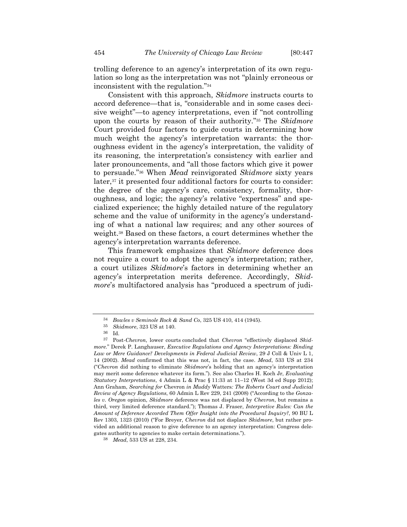trolling deference to an agency's interpretation of its own regulation so long as the interpretation was not "plainly erroneous or inconsistent with the regulation."34

Consistent with this approach, *Skidmore* instructs courts to accord deference—that is, "considerable and in some cases decisive weight"—to agency interpretations, even if "not controlling upon the courts by reason of their authority."35 The *Skidmore* Court provided four factors to guide courts in determining how much weight the agency's interpretation warrants: the thoroughness evident in the agency's interpretation, the validity of its reasoning, the interpretation's consistency with earlier and later pronouncements, and "all those factors which give it power to persuade."36 When *Mead* reinvigorated *Skidmore* sixty years later,<sup>37</sup> it presented four additional factors for courts to consider: the degree of the agency's care, consistency, formality, thoroughness, and logic; the agency's relative "expertness" and specialized experience; the highly detailed nature of the regulatory scheme and the value of uniformity in the agency's understanding of what a national law requires; and any other sources of weight.38 Based on these factors, a court determines whether the agency's interpretation warrants deference.

This framework emphasizes that *Skidmore* deference does not require a court to adopt the agency's interpretation; rather, a court utilizes *Skidmore*'s factors in determining whether an agency's interpretation merits deference. Accordingly, *Skidmore*'s multifactored analysis has "produced a spectrum of judi-

<sup>34</sup> *Bowles v Seminole Rock & Sand Co*, 325 US 410, 414 (1945).

<sup>35</sup> *Skidmore*, 323 US at 140.

<sup>36</sup> Id.

<sup>37</sup> Post-*Chevron*, lower courts concluded that *Chevron* "effectively displaced *Skidmore*." Derek P. Langhauser, *Executive Regulations and Agency Interpretations: Binding Law or Mere Guidance? Developments in Federal Judicial Review*, 29 J Coll & Univ L 1, 14 (2002). *Mead* confirmed that this was not, in fact, the case. *Mead*, 533 US at 234 ("*Chevron* did nothing to eliminate *Skidmore*'s holding that an agency's interpretation may merit some deference whatever its form."). See also Charles H. Koch Jr, *Evaluating Statutory Interpretations*, 4 Admin L & Prac § 11:33 at 11–12 (West 3d ed Supp 2012); Ann Graham, *Searching for* Chevron *in Muddy* Watters*: The Roberts Court and Judicial Review of Agency Regulations*, 60 Admin L Rev 229, 241 (2008) ("According to the *Gonzales v. Oregon* opinion, *Skidmore* deference was not displaced by *Chevron*, but remains a third, very limited deference standard."); Thomas J. Fraser, *Interpretive Rules: Can the Amount of Deference Accorded Them Offer Insight into the Procedural Inquiry?*, 90 BU L Rev 1303, 1323 (2010) ("For Breyer, *Chevron* did not displace *Skidmore*, but rather provided an additional reason to give deference to an agency interpretation: Congress delegates authority to agencies to make certain determinations.").

<sup>38</sup> *Mead*, 533 US at 228, 234.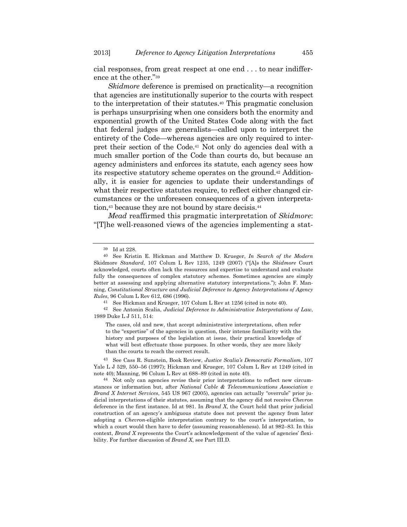cial responses, from great respect at one end . . . to near indifference at the other."39

*Skidmore* deference is premised on practicality—a recognition that agencies are institutionally superior to the courts with respect to the interpretation of their statutes.40 This pragmatic conclusion is perhaps unsurprising when one considers both the enormity and exponential growth of the United States Code along with the fact that federal judges are generalists—called upon to interpret the entirety of the Code—whereas agencies are only required to interpret their section of the Code.41 Not only do agencies deal with a much smaller portion of the Code than courts do, but because an agency administers and enforces its statute, each agency sees how its respective statutory scheme operates on the ground.42 Additionally, it is easier for agencies to update their understandings of what their respective statutes require, to reflect either changed circumstances or the unforeseen consequences of a given interpretation,<sup>43</sup> because they are not bound by stare decisis.<sup>44</sup>

*Mead* reaffirmed this pragmatic interpretation of *Skidmore*: "[T]he well-reasoned views of the agencies implementing a stat-

41 See Hickman and Krueger, 107 Colum L Rev at 1256 (cited in note 40).

42 See Antonin Scalia, *Judicial Deference to Administrative Interpretations of Law*, 1989 Duke L J 511, 514:

The cases, old and new, that accept administrative interpretations, often refer to the "expertise" of the agencies in question, their intense familiarity with the history and purposes of the legislation at issue, their practical knowledge of what will best effectuate those purposes. In other words, they are more likely than the courts to reach the correct result.

43 See Cass R. Sunstein, Book Review, *Justice Scalia's Democratic Formalism*, 107 Yale L J 529, 550–56 (1997); Hickman and Krueger, 107 Colum L Rev at 1249 (cited in note 40); Manning, 96 Colum L Rev at 688–89 (cited in note 40).

<sup>39</sup> Id at 228.

<sup>40</sup> See Kristin E. Hickman and Matthew D. Krueger, *In Search of the Modern*  Skidmore *Standard*, 107 Colum L Rev 1235, 1249 (2007) ("[A]s the *Skidmore* Court acknowledged, courts often lack the resources and expertise to understand and evaluate fully the consequences of complex statutory schemes. Sometimes agencies are simply better at assessing and applying alternative statutory interpretations."); John F. Manning, *Constitutional Structure and Judicial Deference to Agency Interpretations of Agency Rules*, 96 Colum L Rev 612, 686 (1996).

<sup>44</sup> Not only can agencies revise their prior interpretations to reflect new circumstances or information but, after *National Cable & Telecommunications Association v Brand X Internet Services*, 545 US 967 (2005), agencies can actually "overrule" prior judicial interpretations of their statutes, assuming that the agency did not receive *Chevron* deference in the first instance. Id at 981. In *Brand X*, the Court held that prior judicial construction of an agency's ambiguous statute does not prevent the agency from later adopting a *Chevron*-eligible interpretation contrary to the court's interpretation, to which a court would then have to defer (assuming reasonableness). Id at 982–83. In this context, *Brand X* represents the Court's acknowledgement of the value of agencies' flexibility. For further discussion of *Brand X*, see Part III.D.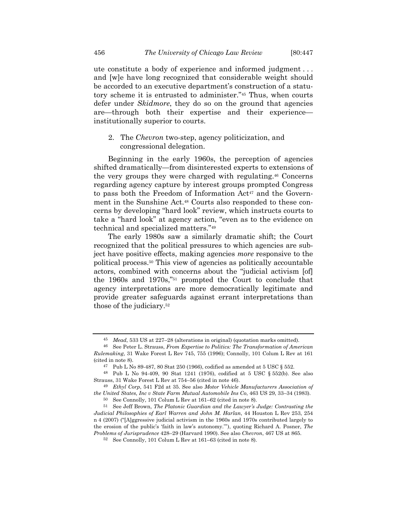ute constitute a body of experience and informed judgment . . . and [w]e have long recognized that considerable weight should be accorded to an executive department's construction of a statutory scheme it is entrusted to administer."45 Thus, when courts defer under *Skidmore*, they do so on the ground that agencies are—through both their expertise and their experience institutionally superior to courts.

# 2. The *Chevron* two-step, agency politicization, and congressional delegation.

Beginning in the early 1960s, the perception of agencies shifted dramatically—from disinterested experts to extensions of the very groups they were charged with regulating.46 Concerns regarding agency capture by interest groups prompted Congress to pass both the Freedom of Information Act<sup>47</sup> and the Government in the Sunshine Act.48 Courts also responded to these concerns by developing "hard look" review, which instructs courts to take a "hard look" at agency action, "even as to the evidence on technical and specialized matters."49

The early 1980s saw a similarly dramatic shift; the Court recognized that the political pressures to which agencies are subject have positive effects, making agencies *more* responsive to the political process.50 This view of agencies as politically accountable actors, combined with concerns about the "judicial activism [of] the 1960s and 1970s,"51 prompted the Court to conclude that agency interpretations are more democratically legitimate and provide greater safeguards against errant interpretations than those of the judiciary.52

<sup>45</sup> *Mead*, 533 US at 227–28 (alterations in original) (quotation marks omitted).

<sup>46</sup> See Peter L. Strauss, *From Expertise to Politics: The Transformation of American Rulemaking*, 31 Wake Forest L Rev 745, 755 (1996); Connolly, 101 Colum L Rev at 161 (cited in note 8).

 $47$  Pub L No 89-487, 80 Stat 250 (1966), codified as amended at 5 USC § 552.

<sup>48</sup> Pub L No 94-409, 90 Stat 1241 (1976), codified at 5 USC § 552(b). See also Strauss, 31 Wake Forest L Rev at 754–56 (cited in note 46).

<sup>49</sup> *Ethyl Corp*, 541 F2d at 35. See also *Motor Vehicle Manufacturers Association of the United States, Inc v State Farm Mutual Automobile Ins Co*, 463 US 29, 33–34 (1983).

<sup>50</sup> See Connolly, 101 Colum L Rev at 161–62 (cited in note 8).

<sup>51</sup> See Jeff Brown, *The Platonic Guardian and the Lawyer's Judge: Contrasting the Judicial Philosophies of Earl Warren and John M. Harlan*, 44 Houston L Rev 253, 254 n 4 (2007) ("[A]ggressive judicial activism in the 1960s and 1970s contributed largely to the erosion of the public's 'faith in law's autonomy.'"), quoting Richard A. Posner, *The Problems of Jurisprudence* 428–29 (Harvard 1990). See also *Chevron*, 467 US at 865.

<sup>52</sup> See Connolly, 101 Colum L Rev at 161–63 (cited in note 8).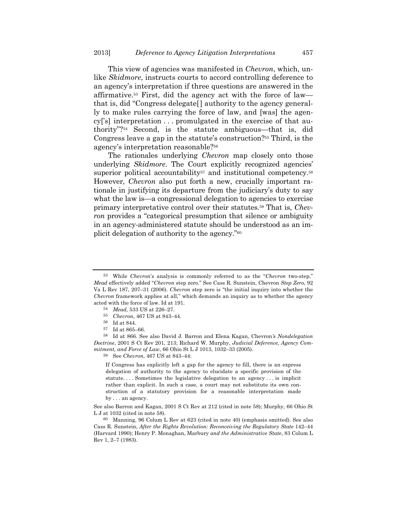This view of agencies was manifested in *Chevron*, which, unlike *Skidmore*, instructs courts to accord controlling deference to an agency's interpretation if three questions are answered in the affirmative.53 First, did the agency act with the force of law that is, did "Congress delegate[] authority to the agency generally to make rules carrying the force of law, and [was] the agency['s] interpretation . . . promulgated in the exercise of that authority"?54 Second, is the statute ambiguous—that is, did Congress leave a gap in the statute's construction?55 Third, is the agency's interpretation reasonable?56

The rationales underlying *Chevron* map closely onto those underlying *Skidmore*. The Court explicitly recognized agencies' superior political accountability<sup>57</sup> and institutional competency.<sup>58</sup> However, *Chevron* also put forth a new, crucially important rationale in justifying its departure from the judiciary's duty to say what the law is—a congressional delegation to agencies to exercise primary interpretative control over their statutes.59 That is, *Chevron* provides a "categorical presumption that silence or ambiguity in an agency-administered statute should be understood as an implicit delegation of authority to the agency."60

If Congress has explicitly left a gap for the agency to fill, there is an express delegation of authority to the agency to elucidate a specific provision of the statute. . . . Sometimes the legislative delegation to an agency . . . is implicit rather than explicit. In such a case, a court may not substitute its own construction of a statutory provision for a reasonable interpretation made by . . . an agency.

See also Barron and Kagan, 2001 S Ct Rev at 212 (cited in note 58); Murphy, 66 Ohio St L J at 1032 (cited in note 58).

<sup>53</sup> While *Chevron*'s analysis is commonly referred to as the "*Chevron* two-step," *Mead* effectively added "*Chevron* step zero." See Cass R. Sunstein, Chevron *Step Zero*, 92 Va L Rev 187, 207–31 (2006). *Chevron* step zero is "the initial inquiry into whether the *Chevron* framework applies at all," which demands an inquiry as to whether the agency acted with the force of law. Id at 191.

<sup>54</sup> *Mead*, 533 US at 226–27.

<sup>55</sup> *Chevron*, 467 US at 843–44.

<sup>56</sup> Id at 844.

<sup>57</sup> Id at 865–66.

<sup>58</sup> Id at 866. See also David J. Barron and Elena Kagan, Chevron*'s Nondelegation Doctrine*, 2001 S Ct Rev 201, 213; Richard W. Murphy, *Judicial Deference, Agency Commitment, and Force of Law*, 66 Ohio St L J 1013, 1032–33 (2005).

<sup>59</sup> See *Chevron*, 467 US at 843–44:

<sup>60</sup> Manning, 96 Colum L Rev at 623 (cited in note 40) (emphasis omitted). See also Cass R. Sunstein, *After the Rights Revolution: Reconceiving the Regulatory State* 142–44 (Harvard 1990); Henry P. Monaghan, Marbury *and the Administrative State*, 83 Colum L Rev 1, 2–7 (1983).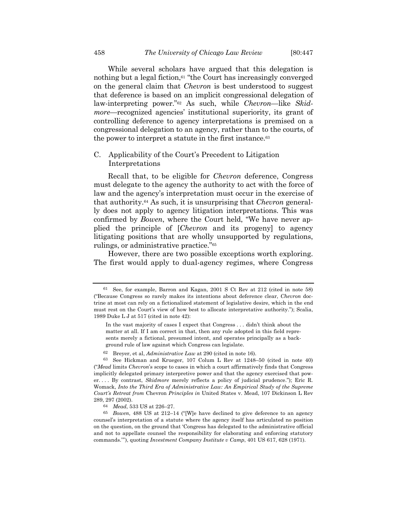While several scholars have argued that this delegation is nothing but a legal fiction, $61$  "the Court has increasingly converged on the general claim that *Chevron* is best understood to suggest that deference is based on an implicit congressional delegation of law-interpreting power."62 As such, while *Chevron*—like *Skidmore*—recognized agencies' institutional superiority, its grant of controlling deference to agency interpretations is premised on a congressional delegation to an agency, rather than to the courts, of the power to interpret a statute in the first instance.<sup>63</sup>

# C. Applicability of the Court's Precedent to Litigation Interpretations

Recall that, to be eligible for *Chevron* deference, Congress must delegate to the agency the authority to act with the force of law and the agency's interpretation must occur in the exercise of that authority.64 As such, it is unsurprising that *Chevron* generally does not apply to agency litigation interpretations. This was confirmed by *Bowen*, where the Court held, "We have never applied the principle of [*Chevron* and its progeny] to agency litigating positions that are wholly unsupported by regulations, rulings, or administrative practice."65

However, there are two possible exceptions worth exploring. The first would apply to dual-agency regimes, where Congress

<sup>61</sup> See, for example, Barron and Kagan, 2001 S Ct Rev at 212 (cited in note 58) ("Because Congress so rarely makes its intentions about deference clear, *Chevron* doctrine at most can rely on a fictionalized statement of legislative desire, which in the end must rest on the Court's view of how best to allocate interpretative authority."); Scalia, 1989 Duke L J at 517 (cited in note 42):

In the vast majority of cases I expect that Congress . . . didn't think about the matter at all. If I am correct in that, then any rule adopted in this field represents merely a fictional, presumed intent, and operates principally as a background rule of law against which Congress can legislate.

<sup>62</sup> Breyer, et al, *Administrative Law* at 290 (cited in note 16).

<sup>63</sup> See Hickman and Krueger, 107 Colum L Rev at 1248–50 (cited in note 40) ("*Mead* limits *Chevron*'s scope to cases in which a court affirmatively finds that Congress implicitly delegated primary interpretive power and that the agency exercised that power. . . . By contrast, *Skidmore* merely reflects a policy of judicial prudence."); Eric R. Womack, *Into the Third Era of Administrative Law: An Empirical Study of the Supreme Court's Retreat from* Chevron *Principles in* United States v. Mead, 107 Dickinson L Rev 289, 297 (2002).

<sup>64</sup> *Mead*, 533 US at 226–27.

<sup>65</sup> *Bowen*, 488 US at 212–14 ("[W]e have declined to give deference to an agency counsel's interpretation of a statute where the agency itself has articulated no position on the question, on the ground that 'Congress has delegated to the administrative official and not to appellate counsel the responsibility for elaborating and enforcing statutory commands.'"), quoting *Investment Company Institute v Camp*, 401 US 617, 628 (1971).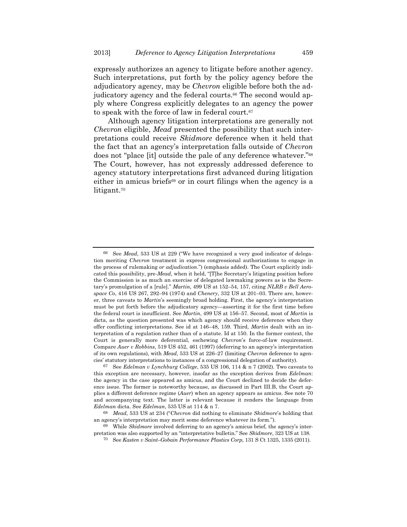expressly authorizes an agency to litigate before another agency. Such interpretations, put forth by the policy agency before the adjudicatory agency, may be *Chevron* eligible before both the adjudicatory agency and the federal courts.<sup>66</sup> The second would apply where Congress explicitly delegates to an agency the power to speak with the force of law in federal court.<sup>67</sup>

Although agency litigation interpretations are generally not *Chevron* eligible, *Mead* presented the possibility that such interpretations could receive *Skidmore* deference when it held that the fact that an agency's interpretation falls outside of *Chevron* does not "place [it] outside the pale of any deference whatever."68 The Court, however, has not expressly addressed deference to agency statutory interpretations first advanced during litigation either in amicus briefs<sup>69</sup> or in court filings when the agency is a litigant.<sup>70</sup>

See *Mead*, 533 US at 229 ("We have recognized a very good indicator of delegation meriting *Chevron* treatment in express congressional authorizations to engage in the process of rulemaking *or adjudication*.") (emphasis added). The Court explicitly indicated this possibility, pre-*Mead*, when it held, "[T]he Secretary's litigating position before the Commission is as much an exercise of delegated lawmaking powers as is the Secretary's promulgation of a [rule]." *Martin*, 499 US at 152–54, 157, citing *NLRB v Bell Aerospace Co*, 416 US 267, 292–94 (1974) and *Chenery*, 332 US at 201–03. There are, however, three caveats to *Martin*'s seemingly broad holding. First, the agency's interpretation must be put forth before the adjudicatory agency—asserting it for the first time before the federal court is insufficient. See *Martin*, 499 US at 156–57. Second, most of *Martin* is dicta, as the question presented was which agency should receive deference when they offer conflicting interpretations. See id at 146–48, 159. Third, *Martin* dealt with an interpretation of a regulation rather than of a statute. Id at 150. In the former context, the Court is generally more deferential, eschewing *Chevron*'s force-of-law requirement. Compare *Auer v Robbins*, 519 US 452, 461 (1997) (deferring to an agency's interpretation of its own regulations), with *Mead*, 533 US at 226–27 (limiting *Chevron* deference to agencies' statutory interpretations to instances of a congressional delegation of authority).

<sup>67</sup> See *Edelman v Lynchburg College*, 535 US 106, 114 & n 7 (2002). Two caveats to this exception are necessary, however, insofar as the exception derives from *Edelman*: the agency in the case appeared as amicus, and the Court declined to decide the deference issue. The former is noteworthy because, as discussed in Part III.B, the Court applies a different deference regime (*Auer*) when an agency appears as amicus. See note 70 and accompanying text. The latter is relevant because it renders the language from *Edelman* dicta. See *Edelman*, 535 US at 114 & n 7.

<sup>68</sup> *Mead*, 533 US at 234 ("*Chevron* did nothing to eliminate *Skidmore*'s holding that an agency's interpretation may merit some deference whatever its form.").

<sup>69</sup> While *Skidmore* involved deferring to an agency's amicus brief, the agency's interpretation was also supported by an "interpretative bulletin." See *Skidmore*, 323 US at 138.

<sup>70</sup> See *Kasten v Saint–Gobain Performance Plastics Corp*, 131 S Ct 1325, 1335 (2011).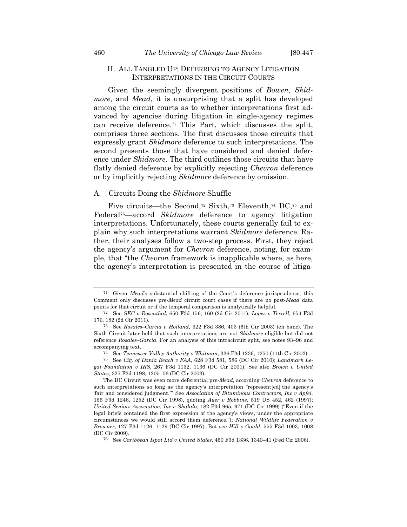## II. ALL TANGLED UP: DEFERRING TO AGENCY LITIGATION INTERPRETATIONS IN THE CIRCUIT COURTS

Given the seemingly divergent positions of *Bowen*, *Skidmore*, and *Mead*, it is unsurprising that a split has developed among the circuit courts as to whether interpretations first advanced by agencies during litigation in single-agency regimes can receive deference.71 This Part, which discusses the split, comprises three sections. The first discusses those circuits that expressly grant *Skidmore* deference to such interpretations. The second presents those that have considered and denied deference under *Skidmore*. The third outlines those circuits that have flatly denied deference by explicitly rejecting *Chevron* deference or by implicitly rejecting *Skidmore* deference by omission.

#### A. Circuits Doing the *Skidmore* Shuffle

Five circuits—the Second,<sup>72</sup> Sixth,<sup>73</sup> Eleventh,<sup>74</sup> DC,<sup>75</sup> and Federal76—accord *Skidmore* deference to agency litigation interpretations. Unfortunately, these courts generally fail to explain why such interpretations warrant *Skidmore* deference. Rather, their analyses follow a two-step process. First, they reject the agency's argument for *Chevron* deference, noting, for example, that "the *Chevron* framework is inapplicable where, as here, the agency's interpretation is presented in the course of litiga-

<sup>71</sup> Given *Mead*'s substantial shifting of the Court's deference jurisprudence, this Comment only discusses pre-*Mead* circuit court cases if there are no post-*Mead* data points for that circuit or if the temporal comparison is analytically helpful.

<sup>72</sup> See *SEC v Rosenthal*, 650 F3d 156, 160 (2d Cir 2011); *Lopez v Terrell*, 654 F3d 176, 182 (2d Cir 2011).

<sup>73</sup> See *Rosales–Garcia v Holland*, 322 F3d 386, 403 (6th Cir 2003) (en banc). The Sixth Circuit later held that such interpretations are not *Skidmore* eligible but did not reference *Rosales–Garcia*. For an analysis of this intracircuit split, see notes 93–96 and accompanying text.

<sup>74</sup> See *Tennessee Valley Authority v Whitman*, 336 F3d 1236, 1250 (11th Cir 2003).

<sup>75</sup> See *City of Dania Beach v FAA*, 628 F3d 581, 586 (DC Cir 2010); *Landmark Legal Foundation v IRS*, 267 F3d 1132, 1136 (DC Cir 2001). See also *Brown v United States*, 327 F3d 1198, 1205–06 (DC Cir 2003).

The DC Circuit was even more deferential pre-*Mead*, according *Chevron* deference to such interpretations so long as the agency's interpretation "represent[ed] the agency's 'fair and considered judgment.'" See *Association of Bituminous Contractors, Inc v Apfel*, 156 F3d 1246, 1252 (DC Cir 1998), quoting *Auer v Robbins*, 519 US 452, 462 (1997); *United Seniors Association, Inc v Shalala*, 182 F3d 965, 971 (DC Cir 1999) ("Even if the legal briefs contained the first expression of the agency's views, under the appropriate circumstances we would still accord them deference."); *National Wildlife Federation v Browner*, 127 F3d 1126, 1129 (DC Cir 1997). But see *Hill v Gould*, 555 F3d 1003, 1008 (DC Cir 2009).

<sup>76</sup> See *Caribbean Ispat Ltd v United States*, 450 F3d 1336, 1340–41 (Fed Cir 2006).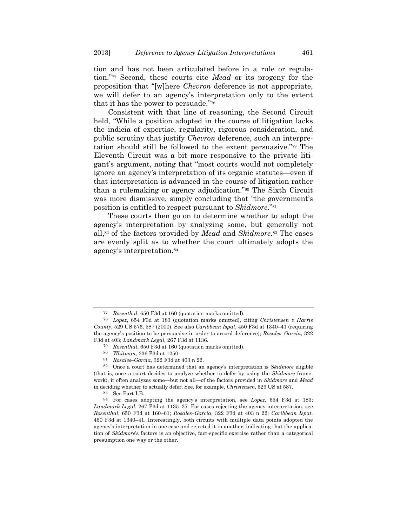tion and has not been articulated before in a rule or regulation."77 Second, these courts cite *Mead* or its progeny for the proposition that "[w]here *Chevron* deference is not appropriate, we will defer to an agency's interpretation only to the extent that it has the power to persuade."78

Consistent with that line of reasoning, the Second Circuit held, "While a position adopted in the course of litigation lacks the indicia of expertise, regularity, rigorous consideration, and public scrutiny that justify *Chevron* deference, such an interpretation should still be followed to the extent persuasive."79 The Eleventh Circuit was a bit more responsive to the private litigant's argument, noting that "most courts would not completely ignore an agency's interpretation of its organic statutes—even if that interpretation is advanced in the course of litigation rather than a rulemaking or agency adjudication."80 The Sixth Circuit was more dismissive, simply concluding that "the government's position is entitled to respect pursuant to *Skidmore*."81

These courts then go on to determine whether to adopt the agency's interpretation by analyzing some, but generally not all,82 of the factors provided by *Mead* and *Skidmore*.83 The cases are evenly split as to whether the court ultimately adopts the agency's interpretation.84

81 *Rosales–Garcia*, 322 F3d at 403 n 22.

<sup>77</sup> *Rosenthal*, 650 F3d at 160 (quotation marks omitted).

<sup>78</sup> *Lopez*, 654 F3d at 183 (quotation marks omitted), citing *Christensen v Harris County*, 529 US 576, 587 (2000). See also *Caribbean Ispat*, 450 F3d at 1340–41 (requiring the agency's position to be persuasive in order to accord deference); *Rosales–Garcia*, 322 F3d at 403; *Landmark Legal*, 267 F3d at 1136.

<sup>79</sup> *Rosenthal*, 650 F3d at 160 (quotation marks omitted).

<sup>80</sup> *Whitman*, 336 F3d at 1250.

<sup>82</sup> Once a court has determined that an agency's interpretation is *Skidmore* eligible (that is, once a court decides to analyze whether to defer by using the *Skidmore* framework), it often analyzes some—but not all—of the factors provided in *Skidmore* and *Mead* in deciding whether to actually defer. See, for example, *Christensen*, 529 US at 587.

<sup>83</sup> See Part I.B.

<sup>84</sup> For cases adopting the agency's interpretation, see *Lopez*, 654 F3d at 183; *Landmark Legal*, 267 F3d at 1135–37. For cases rejecting the agency interpretation, see *Rosenthal*, 650 F3d at 160–61; *Rosales–Garcia*, 322 F3d at 403 n 22; *Caribbean Ispat*, 450 F3d at 1340–41. Interestingly, both circuits with multiple data points adopted the agency's interpretation in one case and rejected it in another, indicating that the application of *Skidmore*'s factors is an objective, fact-specific exercise rather than a categorical presumption one way or the other.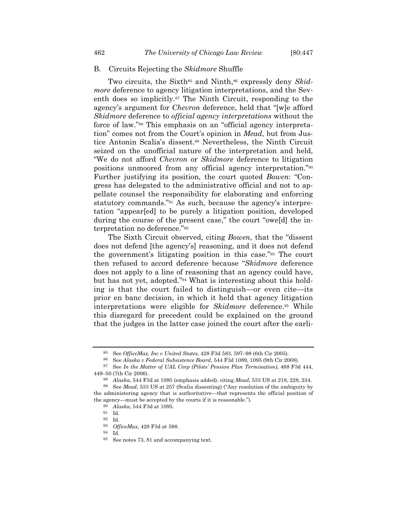### B. Circuits Rejecting the *Skidmore* Shuffle

Two circuits, the Sixth<sup>85</sup> and Ninth,<sup>86</sup> expressly deny *Skidmore* deference to agency litigation interpretations, and the Seventh does so implicitly.87 The Ninth Circuit, responding to the agency's argument for *Chevron* deference, held that "[w]e afford *Skidmore* deference to *official agency interpretations* without the force of law."88 This emphasis on an "official agency interpretation" comes not from the Court's opinion in *Mead*, but from Justice Antonin Scalia's dissent.<sup>89</sup> Nevertheless, the Ninth Circuit seized on the unofficial nature of the interpretation and held, "We do not afford *Chevron* or *Skidmore* deference to litigation positions unmoored from any official agency interpretation."90 Further justifying its position, the court quoted *Bowen*: "Congress has delegated to the administrative official and not to appellate counsel the responsibility for elaborating and enforcing statutory commands."91 As such, because the agency's interpretation "appear[ed] to be purely a litigation position, developed during the course of the present case," the court "owe[d] the interpretation no deference."92

The Sixth Circuit observed, citing *Bowen*, that the "dissent does not defend [the agency's] reasoning, and it does not defend the government's litigating position in this case."93 The court then refused to accord deference because "*Skidmore* deference does not apply to a line of reasoning that an agency could have, but has not yet, adopted."94 What is interesting about this holding is that the court failed to distinguish—or even cite—its prior en banc decision, in which it held that agency litigation interpretations were eligible for *Skidmore* deference.95 While this disregard for precedent could be explained on the ground that the judges in the latter case joined the court after the earli-

<sup>85</sup> See *OfficeMax, Inc v United States*, 428 F3d 583, 597–98 (6th Cir 2005).

<sup>86</sup> See *Alaska v Federal Subsistence Board*, 544 F3d 1089, 1095 (9th Cir 2008).

<sup>87</sup> See *In the Matter of UAL Corp (Pilots' Pension Plan Termination)*, 468 F3d 444, 449–50 (7th Cir 2006).

<sup>88</sup> *Alaska*, 544 F3d at 1095 (emphasis added), citing *Mead*, 533 US at 218, 228, 234.

<sup>89</sup> See *Mead*, 533 US at 257 (Scalia dissenting) ("Any resolution of the ambiguity by the administering agency that is authoritative—that represents the official position of the agency—must be accepted by the courts if it is reasonable.").

<sup>90</sup> *Alaska*, 544 F3d at 1095.

<sup>91</sup> Id.

<sup>92</sup> Id.

<sup>93</sup> *OfficeMax*, 428 F3d at 598.

<sup>94</sup> Id.

<sup>95</sup> See notes 73, 81 and accompanying text.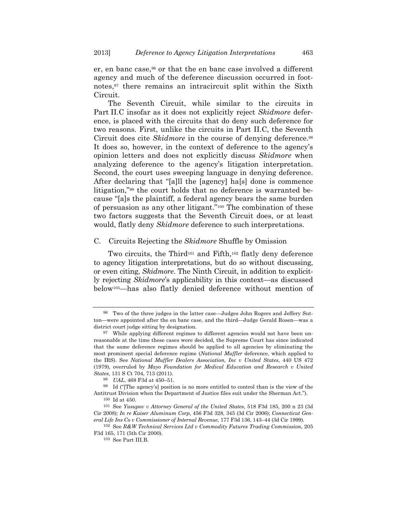er, en banc case,<sup>96</sup> or that the en banc case involved a different agency and much of the deference discussion occurred in footnotes,97 there remains an intracircuit split within the Sixth Circuit.

The Seventh Circuit, while similar to the circuits in Part II.C insofar as it does not explicitly reject *Skidmore* deference, is placed with the circuits that do deny such deference for two reasons. First, unlike the circuits in Part II.C, the Seventh Circuit does cite *Skidmore* in the course of denying deference.<sup>98</sup> It does so, however, in the context of deference to the agency's opinion letters and does not explicitly discuss *Skidmore* when analyzing deference to the agency's litigation interpretation. Second, the court uses sweeping language in denying deference. After declaring that "[a]ll the [agency] ha[s] done is commence litigation,"99 the court holds that no deference is warranted because "[a]s the plaintiff, a federal agency bears the same burden of persuasion as any other litigant."100 The combination of these two factors suggests that the Seventh Circuit does, or at least would, flatly deny *Skidmore* deference to such interpretations.

#### C. Circuits Rejecting the *Skidmore* Shuffle by Omission

Two circuits, the Third<sup>101</sup> and Fifth,<sup>102</sup> flatly deny deference to agency litigation interpretations, but do so without discussing, or even citing, *Skidmore*. The Ninth Circuit, in addition to explicitly rejecting *Skidmore*'s applicability in this context—as discussed below103—has also flatly denied deference without mention of

<sup>96</sup> Two of the three judges in the latter case—Judges John Rogers and Jeffery Sutton—were appointed after the en banc case, and the third—Judge Gerald Rosen—was a district court judge sitting by designation.

<sup>&</sup>lt;sup>97</sup> While applying different regimes to different agencies would not have been unreasonable at the time these cases were decided, the Supreme Court has since indicated that the same deference regimes should be applied to all agencies by eliminating the most prominent special deference regime (*National Muffler* deference, which applied to the IRS). See *National Muffler Dealers Association, Inc v United States*, 440 US 472 (1979), overruled by *Mayo Foundation for Medical Education and Research v United States*, 131 S Ct 704, 713 (2011).

<sup>98</sup> *UAL*, 468 F3d at 450–51.

<sup>99</sup> Id ("[The agency's] position is no more entitled to control than is the view of the Antitrust Division when the Department of Justice files suit under the Sherman Act."). 100 Id at 450.

<sup>101</sup> See *Yusupov v Attorney General of the United States*, 518 F3d 185, 200 n 23 (3d Cir 2008); *In re Kaiser Aluminum Corp*, 456 F3d 328, 345 (3d Cir 2006); *Connecticut General Life Ins Co v Commissioner of Internal Revenue*, 177 F3d 136, 143–44 (3d Cir 1999).

<sup>102</sup> See *R&W Technical Services Ltd v Commodity Futures Trading Commission*, 205 F3d 165, 171 (5th Cir 2000).

<sup>103</sup> See Part III.B.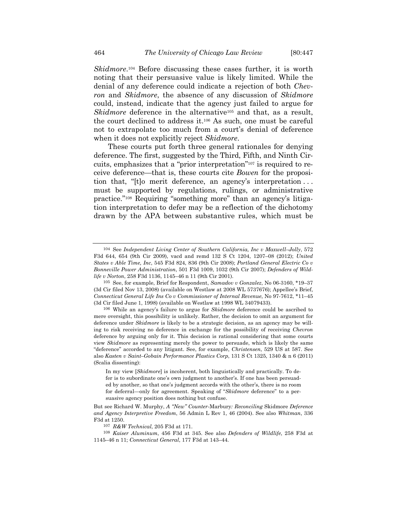*Skidmore*.104 Before discussing these cases further, it is worth noting that their persuasive value is likely limited. While the denial of any deference could indicate a rejection of both *Chevron* and *Skidmore*, the absence of any discussion of *Skidmore* could, instead, indicate that the agency just failed to argue for *Skidmore* deference in the alternative<sup>105</sup> and that, as a result, the court declined to address it.106 As such, one must be careful not to extrapolate too much from a court's denial of deference when it does not explicitly reject *Skidmore*.

These courts put forth three general rationales for denying deference. The first, suggested by the Third, Fifth, and Ninth Circuits, emphasizes that a "prior interpretation"107 is required to receive deference—that is, these courts cite *Bowen* for the proposition that, "[t]o merit deference, an agency's interpretation . . . must be supported by regulations, rulings, or administrative practice."108 Requiring "something more" than an agency's litigation interpretation to defer may be a reflection of the dichotomy drawn by the APA between substantive rules, which must be

<sup>104</sup> See *Independent Living Center of Southern California, Inc v Maxwell–Jolly*, 572 F3d 644, 654 (9th Cir 2009), vacd and remd 132 S Ct 1204, 1207–08 (2012); *United States v Able Time, Inc*, 545 F3d 824, 836 (9th Cir 2008); *Portland General Electric Co v Bonneville Power Administration*, 501 F3d 1009, 1032 (9th Cir 2007); *Defenders of Wildlife v Norton*, 258 F3d 1136, 1145–46 n 11 (9th Cir 2001).

<sup>105</sup> See, for example, Brief for Respondent, *Samadov v Gonzalez*, No 06-3160, \*19–37 (3d Cir filed Nov 13, 2008) (available on Westlaw at 2008 WL 5737676); Appellee's Brief, *Connecticut General Life Ins Co v Commissioner of Internal Revenue*, No 97-7612, \*11–45 (3d Cir filed June 1, 1998) (available on Westlaw at 1998 WL 34079433).

<sup>106</sup> While an agency's failure to argue for *Skidmore* deference could be ascribed to mere oversight, this possibility is unlikely. Rather, the decision to omit an argument for deference under *Skidmore* is likely to be a strategic decision, as an agency may be willing to risk receiving no deference in exchange for the possibility of receiving *Chevron* deference by arguing only for it. This decision is rational considering that some courts view *Skidmore* as representing merely the power to persuade, which is likely the same "deference" accorded to any litigant. See, for example, *Christensen*, 529 US at 587. See also *Kasten v Saint–Gobain Performance Plastics Corp*, 131 S Ct 1325, 1340 & n 6 (2011) (Scalia dissenting):

In my view [*Skidmore*] is incoherent, both linguistically and practically. To defer is to subordinate one's own judgment to another's. If one has been persuaded by another, so that one's judgment accords with the other's, there is no room for deferral—only for agreement. Speaking of "*Skidmore* deference" to a persuasive agency position does nothing but confuse.

But see Richard W. Murphy, *A "New" Counter-*Marbury*: Reconciling* Skidmore *Deference and Agency Interpretive Freedom*, 56 Admin L Rev 1, 46 (2004). See also *Whitman*, 336 F3d at 1250.

<sup>107</sup> *R&W Technical*, 205 F3d at 171.

<sup>108</sup> *Kaiser Aluminum*, 456 F3d at 345. See also *Defenders of Wildlife*, 258 F3d at 1145–46 n 11; *Connecticut General*, 177 F3d at 143–44.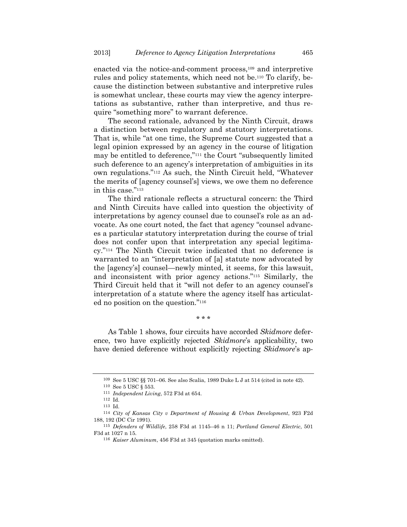enacted via the notice-and-comment process,109 and interpretive rules and policy statements, which need not be.110 To clarify, because the distinction between substantive and interpretive rules is somewhat unclear, these courts may view the agency interpretations as substantive, rather than interpretive, and thus require "something more" to warrant deference.

The second rationale, advanced by the Ninth Circuit, draws a distinction between regulatory and statutory interpretations. That is, while "at one time, the Supreme Court suggested that a legal opinion expressed by an agency in the course of litigation may be entitled to deference,"111 the Court "subsequently limited such deference to an agency's interpretation of ambiguities in its own regulations."112 As such, the Ninth Circuit held, "Whatever the merits of [agency counsel's] views, we owe them no deference in this case."113

The third rationale reflects a structural concern: the Third and Ninth Circuits have called into question the objectivity of interpretations by agency counsel due to counsel's role as an advocate. As one court noted, the fact that agency "counsel advances a particular statutory interpretation during the course of trial does not confer upon that interpretation any special legitimacy."114 The Ninth Circuit twice indicated that no deference is warranted to an "interpretation of [a] statute now advocated by the [agency's] counsel—newly minted, it seems, for this lawsuit, and inconsistent with prior agency actions."115 Similarly, the Third Circuit held that it "will not defer to an agency counsel's interpretation of a statute where the agency itself has articulated no position on the question."116

\* \* \*

As Table 1 shows, four circuits have accorded *Skidmore* deference, two have explicitly rejected *Skidmore*'s applicability, two have denied deference without explicitly rejecting *Skidmore*'s ap-

<sup>109</sup> See 5 USC §§ 701–06. See also Scalia, 1989 Duke L J at 514 (cited in note 42).

<sup>110</sup> See 5 USC § 553.

<sup>111</sup> *Independent Living*, 572 F3d at 654.

<sup>112</sup> Id.

<sup>113</sup> Id.

<sup>114</sup> *City of Kansas City v Department of Housing & Urban Development*, 923 F2d 188, 192 (DC Cir 1991).

<sup>115</sup> *Defenders of Wildlife*, 258 F3d at 1145–46 n 11; *Portland General Electric*, 501 F3d at 1027 n 15.

<sup>116</sup> *Kaiser Aluminum*, 456 F3d at 345 (quotation marks omitted).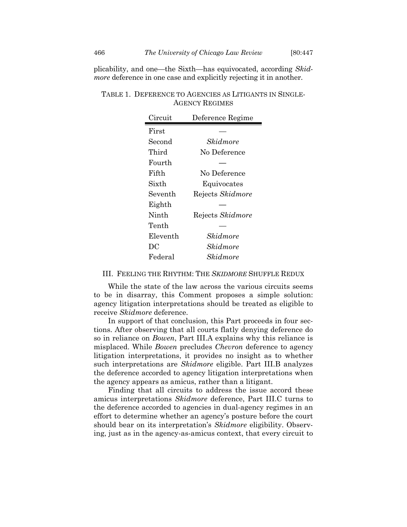plicability, and one—the Sixth—has equivocated, according *Skidmore* deference in one case and explicitly rejecting it in another.

| Circuit  | Deference Regime |
|----------|------------------|
| First    |                  |
| Second   | Skidmore         |
| Third    | No Deference     |
| Fourth   |                  |
| Fifth    | No Deference     |
| Sixth    | Equivocates      |
| Seventh  | Rejects Skidmore |
| Eighth   |                  |
| Ninth    | Rejects Skidmore |
| Tenth    |                  |
| Eleventh | Skidmore         |
| DC       | Skidmore         |
| Federal  | Skidmore         |

TABLE 1. DEFERENCE TO AGENCIES AS LITIGANTS IN SINGLE-AGENCY REGIMES

## III. FEELING THE RHYTHM: THE *SKIDMORE* SHUFFLE REDUX

While the state of the law across the various circuits seems to be in disarray, this Comment proposes a simple solution: agency litigation interpretations should be treated as eligible to receive *Skidmore* deference.

In support of that conclusion, this Part proceeds in four sections. After observing that all courts flatly denying deference do so in reliance on *Bowen*, Part III.A explains why this reliance is misplaced. While *Bowen* precludes *Chevron* deference to agency litigation interpretations, it provides no insight as to whether such interpretations are *Skidmore* eligible. Part III.B analyzes the deference accorded to agency litigation interpretations when the agency appears as amicus, rather than a litigant.

Finding that all circuits to address the issue accord these amicus interpretations *Skidmore* deference, Part III.C turns to the deference accorded to agencies in dual-agency regimes in an effort to determine whether an agency's posture before the court should bear on its interpretation's *Skidmore* eligibility. Observing, just as in the agency-as-amicus context, that every circuit to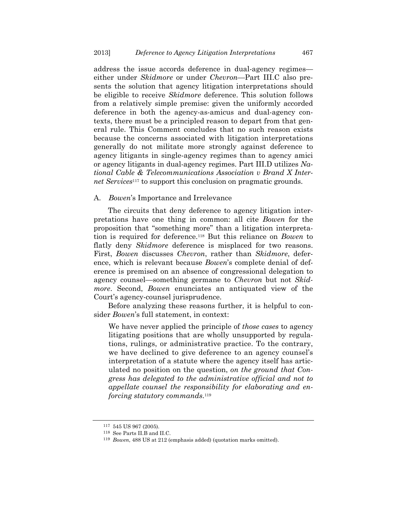address the issue accords deference in dual-agency regimes either under *Skidmore* or under *Chevron*—Part III.C also presents the solution that agency litigation interpretations should be eligible to receive *Skidmore* deference. This solution follows from a relatively simple premise: given the uniformly accorded deference in both the agency-as-amicus and dual-agency contexts, there must be a principled reason to depart from that general rule. This Comment concludes that no such reason exists because the concerns associated with litigation interpretations generally do not militate more strongly against deference to agency litigants in single-agency regimes than to agency amici or agency litigants in dual-agency regimes. Part III.D utilizes *National Cable & Telecommunications Association v Brand X Internet Services*<sup>117</sup> to support this conclusion on pragmatic grounds.

## A. *Bowen*'s Importance and Irrelevance

The circuits that deny deference to agency litigation interpretations have one thing in common: all cite *Bowen* for the proposition that "something more" than a litigation interpretation is required for deference.118 But this reliance on *Bowen* to flatly deny *Skidmore* deference is misplaced for two reasons. First, *Bowen* discusses *Chevron*, rather than *Skidmore*, deference, which is relevant because *Bowen*'s complete denial of deference is premised on an absence of congressional delegation to agency counsel—something germane to *Chevron* but not *Skidmore*. Second, *Bowen* enunciates an antiquated view of the Court's agency-counsel jurisprudence.

Before analyzing these reasons further, it is helpful to consider *Bowen*'s full statement, in context:

We have never applied the principle of *those cases* to agency litigating positions that are wholly unsupported by regulations, rulings, or administrative practice. To the contrary, we have declined to give deference to an agency counsel's interpretation of a statute where the agency itself has articulated no position on the question, *on the ground that Congress has delegated to the administrative official and not to appellate counsel the responsibility for elaborating and enforcing statutory commands*.119

<sup>117 545</sup> US 967 (2005).

<sup>118</sup> See Parts II.B and II.C. 119 *Bowen*, 488 US at 212 (emphasis added) (quotation marks omitted).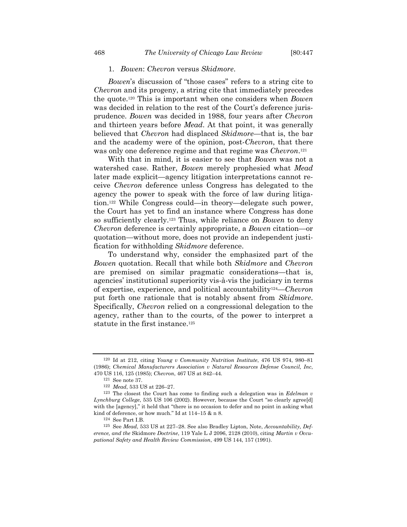## 1. *Bowen*: *Chevron* versus *Skidmore*.

*Bowen*'s discussion of "those cases" refers to a string cite to *Chevron* and its progeny, a string cite that immediately precedes the quote.120 This is important when one considers when *Bowen* was decided in relation to the rest of the Court's deference jurisprudence. *Bowen* was decided in 1988, four years after *Chevron* and thirteen years before *Mead*. At that point, it was generally believed that *Chevron* had displaced *Skidmore*—that is, the bar and the academy were of the opinion, post-*Chevron*, that there was only one deference regime and that regime was *Chevron*.121

With that in mind, it is easier to see that *Bowen* was not a watershed case. Rather, *Bowen* merely prophesied what *Mead* later made explicit—agency litigation interpretations cannot receive *Chevron* deference unless Congress has delegated to the agency the power to speak with the force of law during litigation.122 While Congress could—in theory—delegate such power, the Court has yet to find an instance where Congress has done so sufficiently clearly.123 Thus, while reliance on *Bowen* to deny *Chevron* deference is certainly appropriate, a *Bowen* citation—or quotation—without more, does not provide an independent justification for withholding *Skidmore* deference.

To understand why, consider the emphasized part of the *Bowen* quotation. Recall that while both *Skidmore* and *Chevron* are premised on similar pragmatic considerations—that is, agencies' institutional superiority vis-à-vis the judiciary in terms of expertise, experience, and political accountability124—*Chevron* put forth one rationale that is notably absent from *Skidmore*. Specifically, *Chevron* relied on a congressional delegation to the agency, rather than to the courts, of the power to interpret a statute in the first instance.125

<sup>120</sup> Id at 212, citing *Young v Community Nutrition Institute*, 476 US 974, 980–81 (1986); *Chemical Manufacturers Association v Natural Resources Defense Council, Inc*, 470 US 116, 125 (1985); *Chevron*, 467 US at 842–44.

<sup>121</sup> See note 37.

<sup>122</sup> *Mead*, 533 US at 226–27.

<sup>123</sup> The closest the Court has come to finding such a delegation was in *Edelman v Lynchburg College*, 535 US 106 (2002). However, because the Court "so clearly agree[d] with the [agency]," it held that "there is no occasion to defer and no point in asking what kind of deference, or how much." Id at 114–15 & n 8.

<sup>124</sup> See Part I.B.

<sup>125</sup> See *Mead*, 533 US at 227–28. See also Bradley Lipton, Note, *Accountability, Deference, and the* Skidmore *Doctrine*, 119 Yale L J 2096, 2128 (2010), citing *Martin v Occupational Safety and Health Review Commission*, 499 US 144, 157 (1991).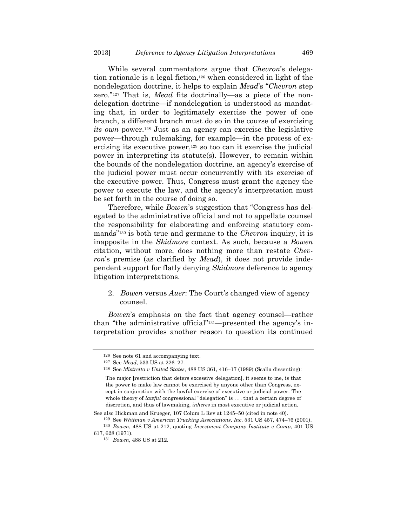While several commentators argue that *Chevron*'s delegation rationale is a legal fiction,<sup>126</sup> when considered in light of the nondelegation doctrine, it helps to explain *Mead*'s "*Chevron* step zero."127 That is, *Mead* fits doctrinally—as a piece of the nondelegation doctrine—if nondelegation is understood as mandating that, in order to legitimately exercise the power of one branch, a different branch must do so in the course of exercising *its own* power.128 Just as an agency can exercise the legislative power—through rulemaking, for example—in the process of exercising its executive power,129 so too can it exercise the judicial power in interpreting its statute(s). However, to remain within the bounds of the nondelegation doctrine, an agency's exercise of the judicial power must occur concurrently with its exercise of the executive power. Thus, Congress must grant the agency the power to execute the law, and the agency's interpretation must be set forth in the course of doing so.

Therefore, while *Bowen*'s suggestion that "Congress has delegated to the administrative official and not to appellate counsel the responsibility for elaborating and enforcing statutory commands"130 is both true and germane to the *Chevron* inquiry, it is inapposite in the *Skidmore* context. As such, because a *Bowen* citation, without more, does nothing more than restate *Chevron*'s premise (as clarified by *Mead*), it does not provide independent support for flatly denying *Skidmore* deference to agency litigation interpretations.

2. *Bowen* versus *Auer*: The Court's changed view of agency counsel.

*Bowen*'s emphasis on the fact that agency counsel—rather than "the administrative official"131—presented the agency's interpretation provides another reason to question its continued

<sup>126</sup> See note 61 and accompanying text.

<sup>127</sup> See *Mead*, 533 US at 226–27.

<sup>128</sup> See *Mistretta v United States*, 488 US 361, 416–17 (1989) (Scalia dissenting):

The major [restriction that deters excessive delegation], it seems to me, is that the power to make law cannot be exercised by anyone other than Congress, except in conjunction with the lawful exercise of executive or judicial power. The whole theory of *lawful* congressional "delegation" is . . . that a certain degree of discretion, and thus of lawmaking, *inheres* in most executive or judicial action.

See also Hickman and Krueger, 107 Colum L Rev at 1245–50 (cited in note 40).

<sup>129</sup> See *Whitman v American Trucking Associations, Inc*, 531 US 457, 474–76 (2001).

<sup>130</sup> *Bowen*, 488 US at 212, quoting *Investment Company Institute v Camp*, 401 US 617, 628 (1971).

<sup>131</sup> *Bowen*, 488 US at 212.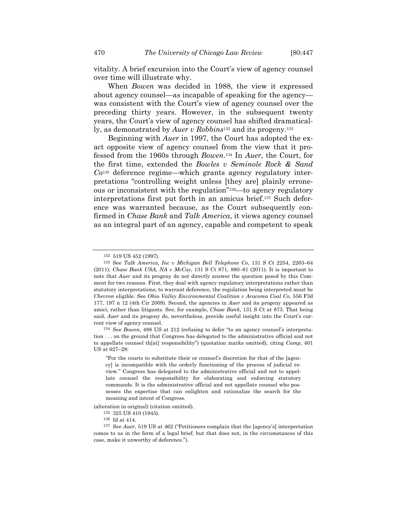vitality. A brief excursion into the Court's view of agency counsel over time will illustrate why.

When *Bowen* was decided in 1988, the view it expressed about agency counsel—as incapable of speaking for the agency was consistent with the Court's view of agency counsel over the preceding thirty years. However, in the subsequent twenty years, the Court's view of agency counsel has shifted dramatically, as demonstrated by *Auer v Robbins*132 and its progeny.133

Beginning with *Auer* in 1997, the Court has adopted the exact opposite view of agency counsel from the view that it professed from the 1960s through *Bowen*.134 In *Auer*, the Court, for the first time, extended the *Bowles v Seminole Rock & Sand Co*135 deference regime—which grants agency regulatory interpretations "controlling weight unless [they are] plainly erroneous or inconsistent with the regulation"136—to agency regulatory interpretations first put forth in an amicus brief.137 Such deference was warranted because, as the Court subsequently confirmed in *Chase Bank* and *Talk America*, it views agency counsel as an integral part of an agency, capable and competent to speak

134 See *Bowen*, 488 US at 212 (refusing to defer "to an agency counsel's interpretation . . . on the ground that Congress has delegated to the administrative official and not to appellate counsel th[at] responsibility") (quotation marks omitted), citing *Camp*, 401 US at 627–28:

(alteration in original) (citation omitted).

<sup>132 519</sup> US 452 (1997).

<sup>133</sup> See *Talk America, Inc v Michigan Bell Telephone Co*, 131 S Ct 2254, 2263–64 (2011); *Chase Bank USA, NA v McCoy*, 131 S Ct 871, 880–81 (2011). It is important to note that *Auer* and its progeny do not directly answer the question posed by this Comment for two reasons. First, they deal with agency regulatory interpretations rather than statutory interpretations; to warrant deference, the regulation being interpreted must be *Chevron* eligible. See *Ohio Valley Environmental Coalition v Aracoma Coal Co*, 556 F3d 177, 197 n 12 (4th Cir 2009). Second, the agencies in *Auer* and its progeny appeared as amici, rather than litigants. See, for example, *Chase Bank*, 131 S Ct at 873. That being said, *Auer* and its progeny do, nevertheless, provide useful insight into the Court's current view of agency counsel.

<sup>&</sup>quot;For the courts to substitute their or counsel's discretion for that of the [agency] is incompatible with the orderly functioning of the process of judicial review." Congress has delegated to the administrative official and not to appellate counsel the responsibility for elaborating and enforcing statutory commands. It is the administrative official and not appellate counsel who possesses the expertise that can enlighten and rationalize the search for the meaning and intent of Congress.

<sup>135 325</sup> US 410 (1945).

<sup>136</sup> Id at 414.

<sup>137</sup> See *Auer*, 519 US at 462 ("Petitioners complain that the [agency's] interpretation comes to us in the form of a legal brief; but that does not, in the circumstances of this case, make it unworthy of deference.").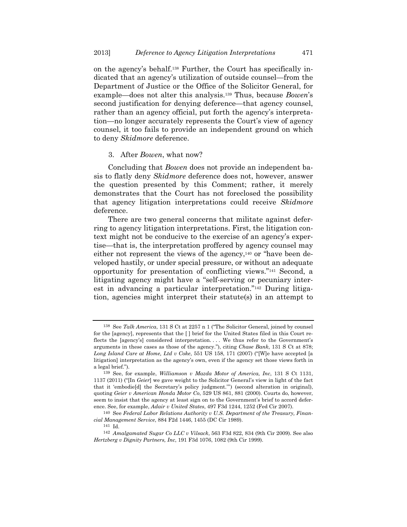on the agency's behalf.138 Further, the Court has specifically indicated that an agency's utilization of outside counsel—from the Department of Justice or the Office of the Solicitor General, for example—does not alter this analysis.139 Thus, because *Bowen*'s second justification for denying deference—that agency counsel, rather than an agency official, put forth the agency's interpretation—no longer accurately represents the Court's view of agency counsel, it too fails to provide an independent ground on which to deny *Skidmore* deference.

#### 3. After *Bowen*, what now?

Concluding that *Bowen* does not provide an independent basis to flatly deny *Skidmore* deference does not, however, answer the question presented by this Comment; rather, it merely demonstrates that the Court has not foreclosed the possibility that agency litigation interpretations could receive *Skidmore* deference.

There are two general concerns that militate against deferring to agency litigation interpretations. First, the litigation context might not be conducive to the exercise of an agency's expertise—that is, the interpretation proffered by agency counsel may either not represent the views of the agency,<sup>140</sup> or "have been developed hastily, or under special pressure, or without an adequate opportunity for presentation of conflicting views."141 Second, a litigating agency might have a "self-serving or pecuniary interest in advancing a particular interpretation."142 During litigation, agencies might interpret their statute(s) in an attempt to

<sup>138</sup> See *Talk America*, 131 S Ct at 2257 n 1 ("The Solicitor General, joined by counsel for the [agency], represents that the [ ] brief for the United States filed in this Court reflects the [agency's] considered interpretation. . . . We thus refer to the Government's arguments in these cases as those of the agency."), citing *Chase Bank*, 131 S Ct at 878; *Long Island Care at Home, Ltd v Coke*, 551 US 158, 171 (2007) ("[W]e have accepted [a litigation] interpretation as the agency's own, even if the agency set those views forth in a legal brief.").

<sup>139</sup> See, for example, *Williamson v Mazda Motor of America, Inc*, 131 S Ct 1131, 1137 (2011) ("[In *Geier*] we gave weight to the Solicitor General's view in light of the fact that it 'embodie[d] the Secretary's policy judgment.'") (second alteration in original), quoting *Geier v American Honda Motor Co*, 529 US 861, 881 (2000). Courts do, however, seem to insist that the agency at least sign on to the Government's brief to accord deference. See, for example, *Adair v United States*, 497 F3d 1244, 1252 (Fed Cir 2007).

<sup>140</sup> See *Federal Labor Relations Authority v U.S. Department of the Treasury, Financial Management Service*, 884 F2d 1446, 1455 (DC Cir 1989).

<sup>141</sup> Id.

<sup>142</sup> *Amalgamated Sugar Co LLC v Vilsack*, 563 F3d 822, 834 (9th Cir 2009). See also *Hertzberg v Dignity Partners, Inc*, 191 F3d 1076, 1082 (9th Cir 1999).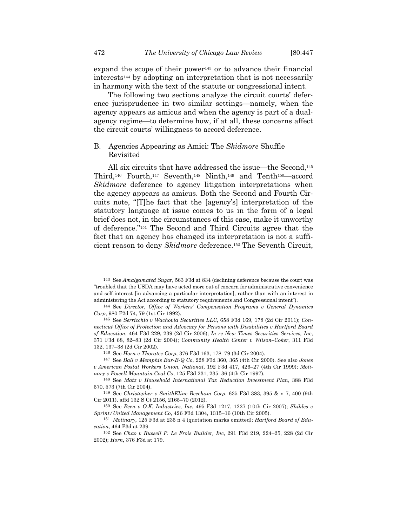expand the scope of their power<sup>143</sup> or to advance their financial interests144 by adopting an interpretation that is not necessarily in harmony with the text of the statute or congressional intent.

The following two sections analyze the circuit courts' deference jurisprudence in two similar settings—namely, when the agency appears as amicus and when the agency is part of a dualagency regime—to determine how, if at all, these concerns affect the circuit courts' willingness to accord deference.

# B. Agencies Appearing as Amici: The *Skidmore* Shuffle Revisited

All six circuits that have addressed the issue—the Second,<sup>145</sup> Third,146 Fourth,147 Seventh,148 Ninth,149 and Tenth150—accord *Skidmore* deference to agency litigation interpretations when the agency appears as amicus. Both the Second and Fourth Circuits note, "[T]he fact that the [agency's] interpretation of the statutory language at issue comes to us in the form of a legal brief does not, in the circumstances of this case, make it unworthy of deference."151 The Second and Third Circuits agree that the fact that an agency has changed its interpretation is not a sufficient reason to deny *Skidmore* deference.152 The Seventh Circuit,

147 See *Ball v Memphis Bar-B-Q Co*, 228 F3d 360, 365 (4th Cir 2000). See also *Jones v American Postal Workers Union, National*, 192 F3d 417, 426–27 (4th Cir 1999); *Molinary v Powell Mountain Coal Co*, 125 F3d 231, 235–36 (4th Cir 1997).

<sup>143</sup> See *Amalgamated Sugar*, 563 F3d at 834 (declining deference because the court was "troubled that the USDA may have acted more out of concern for administrative convenience and self-interest [in advancing a particular interpretation], rather than with an interest in administering the Act according to statutory requirements and Congressional intent").

<sup>144</sup> See *Director, Office of Workers' Compensation Programs v General Dynamics Corp*, 980 F2d 74, 79 (1st Cir 1992).

<sup>145</sup> See *Serricchio v Wachovia Securities LLC*, 658 F3d 169, 178 (2d Cir 2011); *Connecticut Office of Protection and Advocacy for Persons with Disabilities v Hartford Board of Education*, 464 F3d 229, 239 (2d Cir 2006); *In re New Times Securities Services, Inc*, 371 F3d 68, 82–83 (2d Cir 2004); *Community Health Center v Wilson–Coker*, 311 F3d 132, 137–38 (2d Cir 2002).

<sup>146</sup> See *Horn v Thoratec Corp*, 376 F3d 163, 178–79 (3d Cir 2004).

<sup>148</sup> See *Matz v Household International Tax Reduction Investment Plan*, 388 F3d 570, 573 (7th Cir 2004).

<sup>149</sup> See *Christopher v SmithKline Beecham Corp*, 635 F3d 383, 395 & n 7, 400 (9th Cir 2011), affd 132 S Ct 2156, 2165–70 (2012).

<sup>150</sup> See *Been v O.K. Industries, Inc*, 495 F3d 1217, 1227 (10th Cir 2007); *Shikles v Sprint/United Management Co*, 426 F3d 1304, 1315–16 (10th Cir 2005).

<sup>151</sup> *Molinary*, 125 F3d at 235 n 4 (quotation marks omitted); *Hartford Board of Education*, 464 F3d at 239.

<sup>152</sup> See *Chao v Russell P. Le Frois Builder, Inc*, 291 F3d 219, 224–25, 228 (2d Cir 2002); *Horn*, 376 F3d at 179.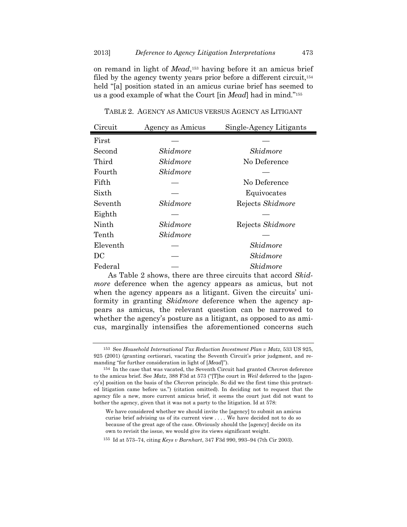on remand in light of *Mead*,153 having before it an amicus brief filed by the agency twenty years prior before a different circuit,<sup>154</sup> held "[a] position stated in an amicus curiae brief has seemed to us a good example of what the Court [in *Mead*] had in mind."155

| Agency as Amicus              | Single-Agency Litigants |
|-------------------------------|-------------------------|
|                               |                         |
| <i><b>Skidmore</b></i>        | Skidmore                |
| <i><u><b>Skidmore</b></u></i> | No Deference            |
| <i><u>Skidmore</u></i>        |                         |
|                               | No Deference            |
|                               | Equivocates             |
| <i><b>Skidmore</b></i>        | Rejects Skidmore        |
|                               |                         |
| <i><u>Skidmore</u></i>        | Rejects Skidmore        |
| <i><u>Skidmore</u></i>        |                         |
|                               | Skidmore                |
|                               | Skidmore                |
|                               | Skidmore                |
|                               |                         |

# TABLE 2. AGENCY AS AMICUS VERSUS AGENCY AS LITIGANT

As Table 2 shows, there are three circuits that accord *Skidmore* deference when the agency appears as amicus, but not when the agency appears as a litigant. Given the circuits' uniformity in granting *Skidmore* deference when the agency appears as amicus, the relevant question can be narrowed to whether the agency's posture as a litigant, as opposed to as amicus, marginally intensifies the aforementioned concerns such

<sup>153</sup> See *Household International Tax Reduction Investment Plan v Matz*, 533 US 925, 925 (2001) (granting certiorari, vacating the Seventh Circuit's prior judgment, and remanding "for further consideration in light of [*Mead*]").

<sup>154</sup> In the case that was vacated, the Seventh Circuit had granted *Chevron* deference to the amicus brief. See *Matz*, 388 F3d at 573 ("[T]he court in *Weil* deferred to the [agency's] position on the basis of the *Chevron* principle. So did we the first time this protracted litigation came before us.") (citation omitted). In deciding not to request that the agency file a new, more current amicus brief, it seems the court just did not want to bother the agency, given that it was not a party to the litigation. Id at 578:

We have considered whether we should invite the [agency] to submit an amicus curiae brief advising us of its current view . . . . We have decided not to do so because of the great age of the case. Obviously should the [agency] decide on its own to revisit the issue, we would give its views significant weight.

<sup>155</sup> Id at 573–74, citing *Keys v Barnhart*, 347 F3d 990, 993–94 (7th Cir 2003).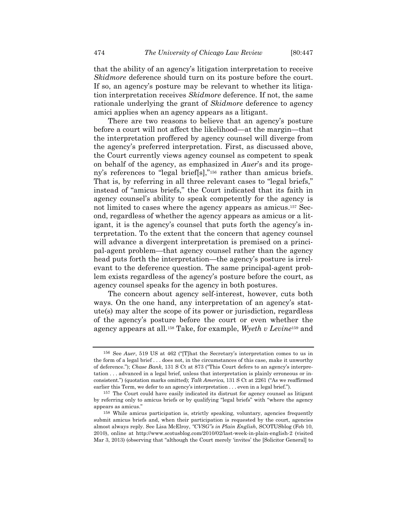that the ability of an agency's litigation interpretation to receive *Skidmore* deference should turn on its posture before the court. If so, an agency's posture may be relevant to whether its litigation interpretation receives *Skidmore* deference. If not, the same rationale underlying the grant of *Skidmore* deference to agency amici applies when an agency appears as a litigant.

There are two reasons to believe that an agency's posture before a court will not affect the likelihood—at the margin—that the interpretation proffered by agency counsel will diverge from the agency's preferred interpretation. First, as discussed above, the Court currently views agency counsel as competent to speak on behalf of the agency, as emphasized in *Auer*'s and its progeny's references to "legal brief[s],"156 rather than amicus briefs. That is, by referring in all three relevant cases to "legal briefs," instead of "amicus briefs," the Court indicated that its faith in agency counsel's ability to speak competently for the agency is not limited to cases where the agency appears as amicus.<sup>157</sup> Second, regardless of whether the agency appears as amicus or a litigant, it is the agency's counsel that puts forth the agency's interpretation. To the extent that the concern that agency counsel will advance a divergent interpretation is premised on a principal-agent problem—that agency counsel rather than the agency head puts forth the interpretation—the agency's posture is irrelevant to the deference question. The same principal-agent problem exists regardless of the agency's posture before the court, as agency counsel speaks for the agency in both postures.

The concern about agency self-interest, however, cuts both ways. On the one hand, any interpretation of an agency's statute(s) may alter the scope of its power or jurisdiction, regardless of the agency's posture before the court or even whether the agency appears at all.158 Take, for example, *Wyeth v Levine*159 and

<sup>156</sup> See *Auer*, 519 US at 462 ("[T]hat the Secretary's interpretation comes to us in the form of a legal brief . . . does not, in the circumstances of this case, make it unworthy of deference."); *Chase Bank*, 131 S Ct at 873 ("This Court defers to an agency's interpretation . . . advanced in a legal brief, unless that interpretation is plainly erroneous or inconsistent.") (quotation marks omitted); *Talk America*, 131 S Ct at 2261 ("As we reaffirmed earlier this Term, we defer to an agency's interpretation . . . even in a legal brief.").

<sup>157</sup> The Court could have easily indicated its distrust for agency counsel as litigant by referring only to amicus briefs or by qualifying "legal briefs" with "where the agency appears as amicus."

<sup>158</sup> While amicus participation is, strictly speaking, voluntary, agencies frequently submit amicus briefs and, when their participation is requested by the court, agencies almost always reply. See Lisa McElroy, *"CVSG"s in Plain English*, SCOTUSblog (Feb 10, 2010), online at http://www.scotusblog.com/2010/02/last-week-in-plain-english-2 (visited Mar 3, 2013) (observing that "although the Court merely 'invites' the [Solicitor General] to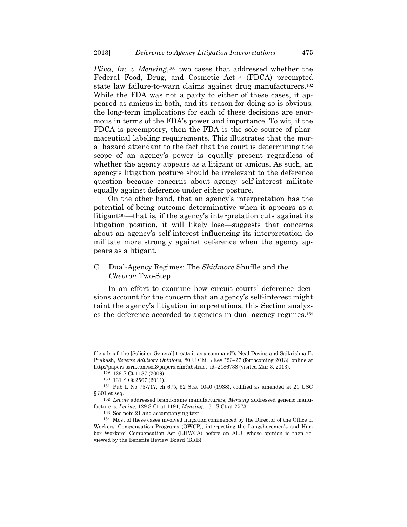*Pliva, Inc v Mensing*,<sup>160</sup> two cases that addressed whether the Federal Food, Drug, and Cosmetic Act<sup>161</sup> (FDCA) preempted state law failure-to-warn claims against drug manufacturers.<sup>162</sup> While the FDA was not a party to either of these cases, it appeared as amicus in both, and its reason for doing so is obvious: the long-term implications for each of these decisions are enormous in terms of the FDA's power and importance. To wit, if the FDCA is preemptory, then the FDA is the sole source of pharmaceutical labeling requirements. This illustrates that the moral hazard attendant to the fact that the court is determining the scope of an agency's power is equally present regardless of whether the agency appears as a litigant or amicus. As such, an agency's litigation posture should be irrelevant to the deference question because concerns about agency self-interest militate equally against deference under either posture.

On the other hand, that an agency's interpretation has the potential of being outcome determinative when it appears as a litigant<sup>163</sup>—that is, if the agency's interpretation cuts against its litigation position, it will likely lose—suggests that concerns about an agency's self-interest influencing its interpretation do militate more strongly against deference when the agency appears as a litigant.

# C. Dual-Agency Regimes: The *Skidmore* Shuffle and the *Chevron* Two-Step

In an effort to examine how circuit courts' deference decisions account for the concern that an agency's self-interest might taint the agency's litigation interpretations, this Section analyzes the deference accorded to agencies in dual-agency regimes.164

file a brief, the [Solicitor General] treats it as a command"); Neal Devins and Saikrishna B. Prakash, *Reverse Advisory Opinions*, 80 U Chi L Rev \*23–27 (forthcoming 2013), online at http://papers.ssrn.com/sol3/papers.cfm?abstract\_id=2186738 (visited Mar 3, 2013).

<sup>159 129</sup> S Ct 1187 (2009). 160 131 S Ct 2567 (2011).

<sup>161</sup> Pub L No 75-717, ch 675, 52 Stat 1040 (1938), codified as amended at 21 USC § 301 et seq.

<sup>162</sup> *Levine* addressed brand-name manufacturers; *Mensing* addressed generic manufacturers. *Levine*, 129 S Ct at 1191; *Mensing*, 131 S Ct at 2573.

<sup>&</sup>lt;sup>163</sup> See note 21 and accompanying text.<br><sup>164</sup> Most of these cases involved litigation commenced by the Director of the Office of Workers' Compensation Programs (OWCP), interpreting the Longshoremen's and Harbor Workers' Compensation Act (LHWCA) before an ALJ, whose opinion is then reviewed by the Benefits Review Board (BRB).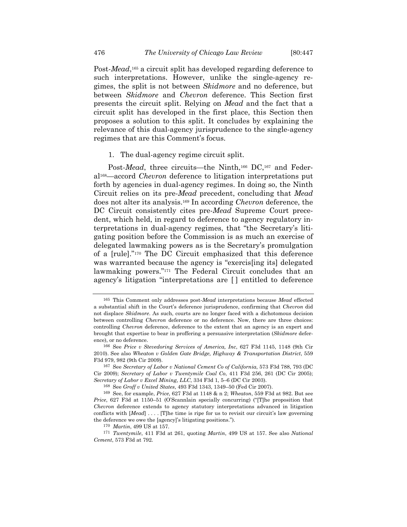Post-*Mead*,165 a circuit split has developed regarding deference to such interpretations. However, unlike the single-agency regimes, the split is not between *Skidmore* and no deference, but between *Skidmore* and *Chevron* deference. This Section first presents the circuit split. Relying on *Mead* and the fact that a circuit split has developed in the first place, this Section then proposes a solution to this split. It concludes by explaining the relevance of this dual-agency jurisprudence to the single-agency regimes that are this Comment's focus.

### 1. The dual-agency regime circuit split.

Post-*Mead*, three circuits—the Ninth,<sup>166</sup> DC,<sup>167</sup> and Federal168—accord *Chevron* deference to litigation interpretations put forth by agencies in dual-agency regimes. In doing so, the Ninth Circuit relies on its pre-*Mead* precedent, concluding that *Mead* does not alter its analysis.169 In according *Chevron* deference, the DC Circuit consistently cites pre-*Mead* Supreme Court precedent, which held, in regard to deference to agency regulatory interpretations in dual-agency regimes, that "the Secretary's litigating position before the Commission is as much an exercise of delegated lawmaking powers as is the Secretary's promulgation of a [rule]."170 The DC Circuit emphasized that this deference was warranted because the agency is "exercis[ing its] delegated lawmaking powers."171 The Federal Circuit concludes that an agency's litigation "interpretations are [ ] entitled to deference

<sup>165</sup> This Comment only addresses post-*Mead* interpretations because *Mead* effected a substantial shift in the Court's deference jurisprudence, confirming that *Chevron* did not displace *Skidmore*. As such, courts are no longer faced with a dichotomous decision between controlling *Chevron* deference or no deference. Now, there are three choices: controlling *Chevron* deference, deference to the extent that an agency is an expert and brought that expertise to bear in proffering a persuasive interpretation (*Skidmore* deference), or no deference.

<sup>166</sup> See *Price v Stevedoring Services of America, Inc*, 627 F3d 1145, 1148 (9th Cir 2010). See also *Wheaton v Golden Gate Bridge, Highway & Transportation District*, 559 F3d 979, 982 (9th Cir 2009).

<sup>167</sup> See *Secretary of Labor v National Cement Co of California*, 573 F3d 788, 793 (DC Cir 2009); *Secretary of Labor v Twentymile Coal Co*, 411 F3d 256, 261 (DC Cir 2005); *Secretary of Labor v Excel Mining, LLC*, 334 F3d 1, 5–6 (DC Cir 2003).

<sup>168</sup> See *Groff v United States*, 493 F3d 1343, 1349–50 (Fed Cir 2007).

<sup>169</sup> See, for example, *Price*, 627 F3d at 1148 & n 2; *Wheaton*, 559 F3d at 982. But see *Price*, 627 F3d at 1150–51 (O'Scannlain specially concurring) ("The proposition that *Chevron* deference extends to agency statutory interpretations advanced in litigation conflicts with [*Mead*] . . . . [T]he time is ripe for us to revisit our circuit's law governing the deference we owe the [agency]'s litigating positions.").

<sup>170</sup> *Martin*, 499 US at 157.

<sup>171</sup> *Twentymile*, 411 F3d at 261, quoting *Martin*, 499 US at 157. See also *National Cement*, 573 F3d at 792.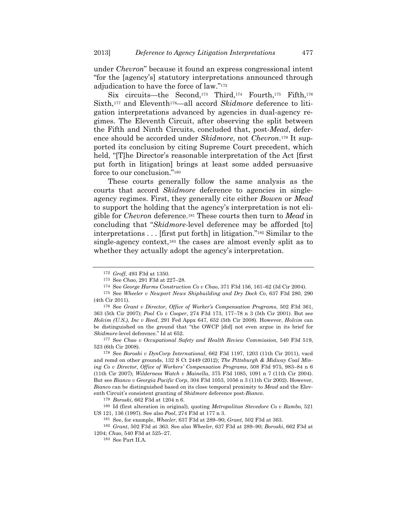under *Chevron*" because it found an express congressional intent "for the [agency's] statutory interpretations announced through adjudication to have the force of law."172

Six circuits—the Second,173 Third,174 Fourth,175 Fifth,176 Sixth,177 and Eleventh178—all accord *Skidmore* deference to litigation interpretations advanced by agencies in dual-agency regimes. The Eleventh Circuit, after observing the split between the Fifth and Ninth Circuits, concluded that, post-*Mead*, deference should be accorded under *Skidmore*, not *Chevron*.179 It supported its conclusion by citing Supreme Court precedent, which held, "[T]he Director's reasonable interpretation of the Act [first] put forth in litigation] brings at least some added persuasive force to our conclusion."180

These courts generally follow the same analysis as the courts that accord *Skidmore* deference to agencies in singleagency regimes. First, they generally cite either *Bowen* or *Mead* to support the holding that the agency's interpretation is not eligible for *Chevron* deference.181 These courts then turn to *Mead* in concluding that "*Skidmore*-level deference may be afforded [to] interpretations . . . [first put forth] in litigation."182 Similar to the single-agency context,<sup>183</sup> the cases are almost evenly split as to whether they actually adopt the agency's interpretation.

<sup>172</sup> *Groff*, 493 F3d at 1350.

<sup>173</sup> See *Chao*, 291 F3d at 227–28.

<sup>174</sup> See *George Harms Construction Co v Chao*, 371 F3d 156, 161–62 (3d Cir 2004).

<sup>175</sup> See *Wheeler v Newport News Shipbuilding and Dry Dock Co*, 637 F3d 280, 290 (4th Cir 2011).

<sup>176</sup> See *Grant v Director, Office of Worker's Compensation Programs*, 502 F3d 361, 363 (5th Cir 2007); *Pool Co v Cooper*, 274 F3d 173, 177–78 n 3 (5th Cir 2001). But see *Holcim (U.S.), Inc v Reed*, 291 Fed Appx 647, 652 (5th Cir 2008). However, *Holcim* can be distinguished on the ground that "the OWCP [did] not even argue in its brief for *Skidmore*-level deference." Id at 652.

<sup>177</sup> See *Chao v Occupational Safety and Health Review Commission*, 540 F3d 519, 523 (6th Cir 2008).

<sup>178</sup> See *Boroski v DynCorp International*, 662 F3d 1197, 1203 (11th Cir 2011), vacd and remd on other grounds, 132 S Ct 2449 (2012); *The Pittsburgh & Midway Coal Mining Co v Director, Office of Workers' Compensation Programs*, 508 F3d 975, 983–84 n 6 (11th Cir 2007); *Wilderness Watch v Mainella*, 375 F3d 1085, 1091 n 7 (11th Cir 2004). But see *Bianco v Georgia Pacific Corp*, 304 F3d 1053, 1056 n 3 (11th Cir 2002). However, *Bianco* can be distinguished based on its close temporal proximity to *Mead* and the Eleventh Circuit's consistent granting of *Skidmore* deference post-*Bianco*.

<sup>179</sup> *Boroski*, 662 F3d at 1204 n 6.

<sup>180</sup> Id (first alteration in original), quoting *Metropolitan Stevedore Co v Rambo*, 521 US 121, 136 (1997). See also *Pool*, 274 F3d at 177 n 3.

<sup>181</sup> See, for example, *Wheeler*, 637 F3d at 289–90; *Grant*, 502 F3d at 363.

<sup>182</sup> *Grant*, 502 F3d at 363. See also *Wheeler*, 637 F3d at 289–90; *Boroski*, 662 F3d at 1204; *Chao*, 540 F3d at 525–27.

<sup>183</sup> See Part II.A.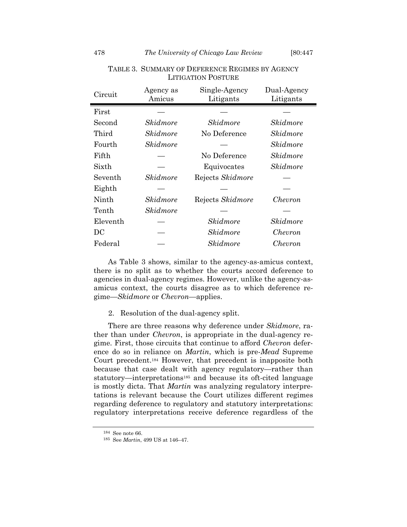| Circuit     | Agency as<br>Amicus | Single-Agency<br>Litigants | Dual-Agency<br>Litigants |
|-------------|---------------------|----------------------------|--------------------------|
| First       |                     |                            |                          |
| Second      | <b>Skidmore</b>     | Skidmore                   | <b>Skidmore</b>          |
| Third       | Skidmore            | No Deference               | <i><b>Skidmore</b></i>   |
| Fourth      | Skidmore            |                            | <b>Skidmore</b>          |
| Fifth       |                     | No Deference               | Skidmore                 |
| Sixth       |                     | Equivocates                | <i><b>Skidmore</b></i>   |
| Seventh     | Skidmore            | Rejects Skidmore           |                          |
| Eighth      |                     |                            |                          |
| Ninth       | Skidmore            | Rejects Skidmore           | Chevron                  |
| Tenth       | Skidmore            |                            |                          |
| Eleventh    |                     | Skidmore                   | <b>Skidmore</b>          |
| $_{\rm DC}$ |                     | Skidmore                   | Chevron                  |
| Federal     |                     | Skidmore                   | Chevron                  |

As Table 3 shows, similar to the agency-as-amicus context, there is no split as to whether the courts accord deference to agencies in dual-agency regimes. However, unlike the agency-asamicus context, the courts disagree as to which deference regime—*Skidmore* or *Chevron*—applies.

2. Resolution of the dual-agency split.

There are three reasons why deference under *Skidmore*, rather than under *Chevron*, is appropriate in the dual-agency regime. First, those circuits that continue to afford *Chevron* deference do so in reliance on *Martin*, which is pre-*Mead* Supreme Court precedent.184 However, that precedent is inapposite both because that case dealt with agency regulatory—rather than statutory—interpretations<sup>185</sup> and because its oft-cited language is mostly dicta. That *Martin* was analyzing regulatory interpretations is relevant because the Court utilizes different regimes regarding deference to regulatory and statutory interpretations: regulatory interpretations receive deference regardless of the

<sup>184</sup> See note 66. 185 See *Martin*, 499 US at 146–47.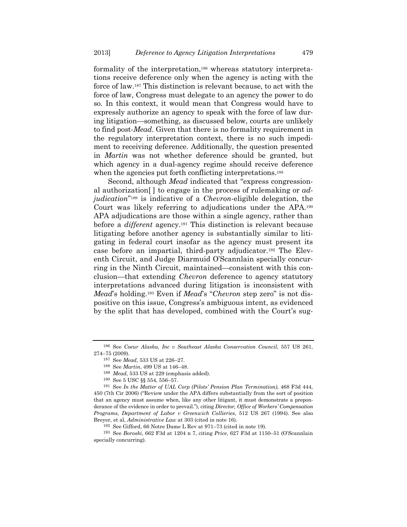formality of the interpretation,186 whereas statutory interpretations receive deference only when the agency is acting with the force of law.187 This distinction is relevant because, to act with the force of law, Congress must delegate to an agency the power to do so. In this context, it would mean that Congress would have to expressly authorize an agency to speak with the force of law during litigation—something, as discussed below, courts are unlikely to find post-*Mead*. Given that there is no formality requirement in the regulatory interpretation context, there is no such impediment to receiving deference. Additionally, the question presented in *Martin* was not whether deference should be granted, but which agency in a dual-agency regime should receive deference when the agencies put forth conflicting interpretations.<sup>188</sup>

Second, although *Mead* indicated that "express congressional authorization[ ] to engage in the process of rulemaking or *adjudication*"189 is indicative of a *Chevron*-eligible delegation, the Court was likely referring to adjudications under the APA.190 APA adjudications are those within a single agency, rather than before a *different* agency.191 This distinction is relevant because litigating before another agency is substantially similar to litigating in federal court insofar as the agency must present its case before an impartial, third-party adjudicator.192 The Eleventh Circuit, and Judge Diarmuid O'Scannlain specially concurring in the Ninth Circuit, maintained—consistent with this conclusion—that extending *Chevron* deference to agency statutory interpretations advanced during litigation is inconsistent with *Mead*'s holding.193 Even if *Mead*'s "*Chevron* step zero" is not dispositive on this issue, Congress's ambiguous intent, as evidenced by the split that has developed, combined with the Court's sug-

<sup>186</sup> See *Coeur Alaska, Inc v Southeast Alaska Conservation Council*, 557 US 261, 274–75 (2009).

<sup>187</sup> See *Mead*, 533 US at 226–27.

<sup>188</sup> See *Martin*, 499 US at 146–48.

<sup>189</sup> *Mead*, 533 US at 229 (emphasis added). 190 See 5 USC §§ 554, 556–57.

<sup>191</sup> See *In the Matter of UAL Corp (Pilots' Pension Plan Termination)*, 468 F3d 444, 450 (7th Cir 2006) ("Review under the APA differs substantially from the sort of position that an agency must assume when, like any other litigant, it must demonstrate a preponderance of the evidence in order to prevail."), citing *Director, Office of Workers' Compensation Programs, Department of Labor v Greenwich Collieries*, 512 US 267 (1994). See also Breyer, et al, *Administrative Law* at 303 (cited in note 16).

<sup>192</sup> See Gifford, 66 Notre Dame L Rev at 971–73 (cited in note 19).

<sup>193</sup> See *Boroski*, 662 F3d at 1204 n 7, citing *Price*, 627 F3d at 1150–51 (O'Scannlain specially concurring).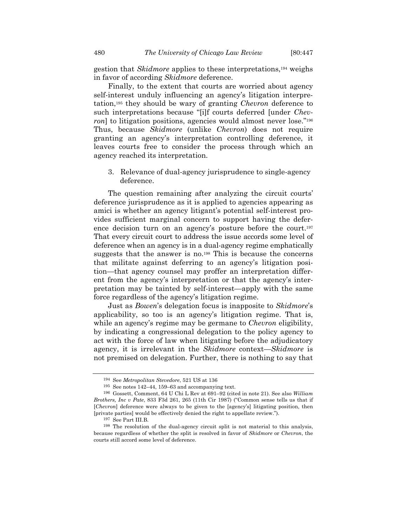gestion that *Skidmore* applies to these interpretations,194 weighs in favor of according *Skidmore* deference.

Finally, to the extent that courts are worried about agency self-interest unduly influencing an agency's litigation interpretation,195 they should be wary of granting *Chevron* deference to such interpretations because "[i]f courts deferred [under *Chevron*] to litigation positions, agencies would almost never lose."<sup>196</sup> Thus, because *Skidmore* (unlike *Chevron*) does not require granting an agency's interpretation controlling deference, it leaves courts free to consider the process through which an agency reached its interpretation.

3. Relevance of dual-agency jurisprudence to single-agency deference.

The question remaining after analyzing the circuit courts' deference jurisprudence as it is applied to agencies appearing as amici is whether an agency litigant's potential self-interest provides sufficient marginal concern to support having the deference decision turn on an agency's posture before the court.<sup>197</sup> That every circuit court to address the issue accords some level of deference when an agency is in a dual-agency regime emphatically suggests that the answer is no.198 This is because the concerns that militate against deferring to an agency's litigation position—that agency counsel may proffer an interpretation different from the agency's interpretation or that the agency's interpretation may be tainted by self-interest—apply with the same force regardless of the agency's litigation regime.

Just as *Bowen*'s delegation focus is inapposite to *Skidmore*'s applicability, so too is an agency's litigation regime. That is, while an agency's regime may be germane to *Chevron* eligibility, by indicating a congressional delegation to the policy agency to act with the force of law when litigating before the adjudicatory agency, it is irrelevant in the *Skidmore* context—*Skidmore* is not premised on delegation. Further, there is nothing to say that

<sup>194</sup> See *Metropolitan Stevedore*, 521 US at 136

<sup>195</sup> See notes 142–44, 159–63 and accompanying text.

<sup>196</sup> Gossett, Comment, 64 U Chi L Rev at 691–92 (cited in note 21). See also *William Brothers, Inc v Pate*, 833 F3d 261, 265 (11th Cir 1987) ("Common sense tells us that if [*Chevron*] deference were always to be given to the [agency's] litigating position, then [private parties] would be effectively denied the right to appellate review.").

<sup>197</sup> See Part III.B.

<sup>198</sup> The resolution of the dual-agency circuit split is not material to this analysis, because regardless of whether the split is resolved in favor of *Skidmore* or *Chevron*, the courts still accord some level of deference.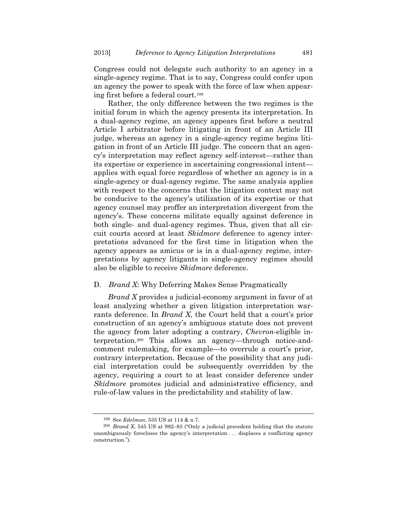Congress could not delegate such authority to an agency in a single-agency regime. That is to say, Congress could confer upon an agency the power to speak with the force of law when appearing first before a federal court.199

Rather, the only difference between the two regimes is the initial forum in which the agency presents its interpretation. In a dual-agency regime, an agency appears first before a neutral Article I arbitrator before litigating in front of an Article III judge, whereas an agency in a single-agency regime begins litigation in front of an Article III judge. The concern that an agency's interpretation may reflect agency self-interest—rather than its expertise or experience in ascertaining congressional intent applies with equal force regardless of whether an agency is in a single-agency or dual-agency regime. The same analysis applies with respect to the concerns that the litigation context may not be conducive to the agency's utilization of its expertise or that agency counsel may proffer an interpretation divergent from the agency's. These concerns militate equally against deference in both single- and dual-agency regimes. Thus, given that all circuit courts accord at least *Skidmore* deference to agency interpretations advanced for the first time in litigation when the agency appears as amicus or is in a dual-agency regime, interpretations by agency litigants in single-agency regimes should also be eligible to receive *Skidmore* deference.

#### D. *Brand X*: Why Deferring Makes Sense Pragmatically

*Brand X* provides a judicial-economy argument in favor of at least analyzing whether a given litigation interpretation warrants deference. In *Brand X*, the Court held that a court's prior construction of an agency's ambiguous statute does not prevent the agency from later adopting a contrary, *Chevron*-eligible interpretation.200 This allows an agency—through notice-andcomment rulemaking, for example—to overrule a court's prior, contrary interpretation. Because of the possibility that any judicial interpretation could be subsequently overridden by the agency, requiring a court to at least consider deference under *Skidmore* promotes judicial and administrative efficiency, and rule-of-law values in the predictability and stability of law.

<sup>199</sup> See *Edelman*, 535 US at 114 & n 7.

<sup>200</sup> *Brand X*, 545 US at 982–83 ("Only a judicial precedent holding that the statute unambiguously forecloses the agency's interpretation . . . displaces a conflicting agency construction.").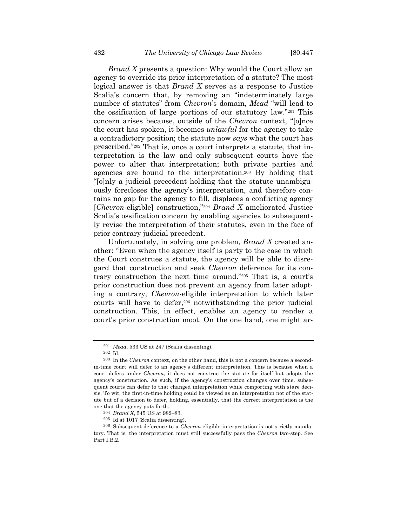*Brand X* presents a question: Why would the Court allow an agency to override its prior interpretation of a statute? The most logical answer is that *Brand X* serves as a response to Justice Scalia's concern that, by removing an "indeterminately large number of statutes" from *Chevron*'s domain, *Mead* "will lead to the ossification of large portions of our statutory law."201 This concern arises because, outside of the *Chevron* context, "[o]nce the court has spoken, it becomes *unlawful* for the agency to take a contradictory position; the statute now *says* what the court has prescribed."202 That is, once a court interprets a statute, that interpretation is the law and only subsequent courts have the power to alter that interpretation; both private parties and agencies are bound to the interpretation.203 By holding that "[o]nly a judicial precedent holding that the statute unambiguously forecloses the agency's interpretation, and therefore contains no gap for the agency to fill, displaces a conflicting agency [*Chevron*-eligible] construction,"204 *Brand X* ameliorated Justice Scalia's ossification concern by enabling agencies to subsequently revise the interpretation of their statutes, even in the face of prior contrary judicial precedent.

Unfortunately, in solving one problem, *Brand X* created another: "Even when the agency itself is party to the case in which the Court construes a statute, the agency will be able to disregard that construction and seek *Chevron* deference for its contrary construction the next time around."205 That is, a court's prior construction does not prevent an agency from later adopting a contrary, *Chevron*-eligible interpretation to which later courts will have to defer,206 notwithstanding the prior judicial construction. This, in effect, enables an agency to render a court's prior construction moot. On the one hand, one might ar-

<sup>201</sup> *Mead*, 533 US at 247 (Scalia dissenting).

<sup>202</sup> Id.

<sup>203</sup> In the *Chevron* context, on the other hand, this is not a concern because a secondin-time court will defer to an agency's different interpretation. This is because when a court defers under *Chevron*, it does not construe the statute for itself but adopts the agency's construction. As such, if the agency's construction changes over time, subsequent courts can defer to that changed interpretation while comporting with stare decisis. To wit, the first-in-time holding could be viewed as an interpretation not of the statute but of a decision to defer, holding, essentially, that the correct interpretation is the one that the agency puts forth.

<sup>204</sup> *Brand X*, 545 US at 982–83. 205 Id at 1017 (Scalia dissenting).

<sup>206</sup> Subsequent deference to a *Chevron*-eligible interpretation is not strictly mandatory. That is, the interpretation must still successfully pass the *Chevron* two-step. See Part I.B.2.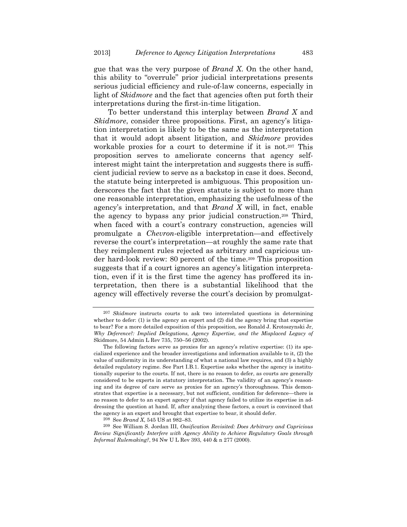gue that was the very purpose of *Brand X*. On the other hand, this ability to "overrule" prior judicial interpretations presents serious judicial efficiency and rule-of-law concerns, especially in light of *Skidmore* and the fact that agencies often put forth their interpretations during the first-in-time litigation.

To better understand this interplay between *Brand X* and *Skidmore*, consider three propositions. First, an agency's litigation interpretation is likely to be the same as the interpretation that it would adopt absent litigation, and *Skidmore* provides workable proxies for a court to determine if it is not.207 This proposition serves to ameliorate concerns that agency selfinterest might taint the interpretation and suggests there is sufficient judicial review to serve as a backstop in case it does. Second, the statute being interpreted is ambiguous. This proposition underscores the fact that the given statute is subject to more than one reasonable interpretation, emphasizing the usefulness of the agency's interpretation, and that *Brand X* will, in fact, enable the agency to bypass any prior judicial construction.208 Third, when faced with a court's contrary construction, agencies will promulgate a *Chevron*-eligible interpretation—and effectively reverse the court's interpretation—at roughly the same rate that they reimplement rules rejected as arbitrary and capricious under hard-look review: 80 percent of the time.209 This proposition suggests that if a court ignores an agency's litigation interpretation, even if it is the first time the agency has proffered its interpretation, then there is a substantial likelihood that the agency will effectively reverse the court's decision by promulgat-

<sup>207</sup> *Skidmore* instructs courts to ask two interrelated questions in determining whether to defer: (1) is the agency an expert and (2) did the agency bring that expertise to bear? For a more detailed exposition of this proposition, see Ronald J. Krotoszynski Jr, *Why Deference?: Implied Delegations, Agency Expertise, and the Misplaced Legacy of* Skidmore, 54 Admin L Rev 735, 750–56 (2002).

The following factors serve as proxies for an agency's relative expertise: (1) its specialized experience and the broader investigations and information available to it, (2) the value of uniformity in its understanding of what a national law requires, and (3) a highly detailed regulatory regime. See Part I.B.1. Expertise asks whether the agency is institutionally superior to the courts. If not, there is no reason to defer, as courts are generally considered to be experts in statutory interpretation. The validity of an agency's reasoning and its degree of care serve as proxies for an agency's thoroughness. This demonstrates that expertise is a necessary, but not sufficient, condition for deference—there is no reason to defer to an expert agency if that agency failed to utilize its expertise in addressing the question at hand. If, after analyzing these factors, a court is convinced that the agency is an expert and brought that expertise to bear, it should defer.

<sup>208</sup> See *Brand X*, 545 US at 982–83.

<sup>209</sup> See William S. Jordan III, *Ossification Revisited: Does Arbitrary and Capricious Review Significantly Interfere with Agency Ability to Achieve Regulatory Goals through Informal Rulemaking?*, 94 Nw U L Rev 393, 440 & n 277 (2000).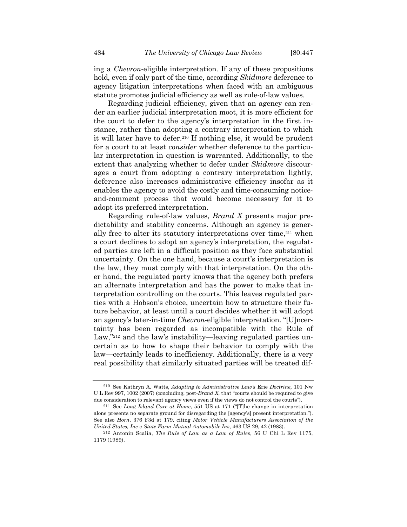ing a *Chevron*-eligible interpretation. If any of these propositions hold, even if only part of the time, according *Skidmore* deference to agency litigation interpretations when faced with an ambiguous statute promotes judicial efficiency as well as rule-of-law values.

Regarding judicial efficiency, given that an agency can render an earlier judicial interpretation moot, it is more efficient for the court to defer to the agency's interpretation in the first instance, rather than adopting a contrary interpretation to which it will later have to defer.210 If nothing else, it would be prudent for a court to at least *consider* whether deference to the particular interpretation in question is warranted. Additionally, to the extent that analyzing whether to defer under *Skidmore* discourages a court from adopting a contrary interpretation lightly, deference also increases administrative efficiency insofar as it enables the agency to avoid the costly and time-consuming noticeand-comment process that would become necessary for it to adopt its preferred interpretation.

Regarding rule-of-law values, *Brand X* presents major predictability and stability concerns. Although an agency is generally free to alter its statutory interpretations over time,<sup>211</sup> when a court declines to adopt an agency's interpretation, the regulated parties are left in a difficult position as they face substantial uncertainty. On the one hand, because a court's interpretation is the law, they must comply with that interpretation. On the other hand, the regulated party knows that the agency both prefers an alternate interpretation and has the power to make that interpretation controlling on the courts. This leaves regulated parties with a Hobson's choice, uncertain how to structure their future behavior, at least until a court decides whether it will adopt an agency's later-in-time *Chevron*-eligible interpretation. "[U]ncertainty has been regarded as incompatible with the Rule of Law,"<sup>212</sup> and the law's instability—leaving regulated parties uncertain as to how to shape their behavior to comply with the law—certainly leads to inefficiency. Additionally, there is a very real possibility that similarly situated parties will be treated dif-

<sup>210</sup> See Kathryn A. Watts, *Adapting to Administrative Law's* Erie *Doctrine*, 101 Nw U L Rev 997, 1002 (2007) (concluding, post-*Brand X*, that "courts should be required to give due consideration to relevant agency views even if the views do not control the courts").

<sup>211</sup> See *Long Island Care at Home*, 551 US at 171 ("[T]he change in interpretation alone presents no separate ground for disregarding the [agency's] present interpretation."). See also *Horn*, 376 F3d at 179, citing *Motor Vehicle Manufacturers Association of the United States, Inc v State Farm Mutual Automobile Ins*, 463 US 29, 42 (1983).

<sup>212</sup> Antonin Scalia, *The Rule of Law as a Law of Rules*, 56 U Chi L Rev 1175, 1179 (1989).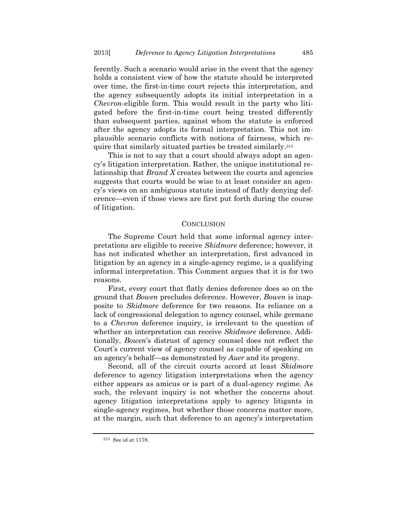ferently. Such a scenario would arise in the event that the agency holds a consistent view of how the statute should be interpreted over time, the first-in-time court rejects this interpretation, and the agency subsequently adopts its initial interpretation in a *Chevron*-eligible form. This would result in the party who litigated before the first-in-time court being treated differently than subsequent parties, against whom the statute is enforced after the agency adopts its formal interpretation. This not implausible scenario conflicts with notions of fairness, which require that similarly situated parties be treated similarly.213

This is not to say that a court should always adopt an agency's litigation interpretation. Rather, the unique institutional relationship that *Brand X* creates between the courts and agencies suggests that courts would be wise to at least consider an agency's views on an ambiguous statute instead of flatly denying deference—even if those views are first put forth during the course of litigation.

#### **CONCLUSION**

The Supreme Court held that some informal agency interpretations are eligible to receive *Skidmore* deference; however, it has not indicated whether an interpretation, first advanced in litigation by an agency in a single-agency regime, is a qualifying informal interpretation. This Comment argues that it is for two reasons.

First, every court that flatly denies deference does so on the ground that *Bowen* precludes deference. However, *Bowen* is inapposite to *Skidmore* deference for two reasons. Its reliance on a lack of congressional delegation to agency counsel, while germane to a *Chevron* deference inquiry, is irrelevant to the question of whether an interpretation can receive *Skidmore* deference. Additionally, *Bowen*'s distrust of agency counsel does not reflect the Court's current view of agency counsel as capable of speaking on an agency's behalf—as demonstrated by *Auer* and its progeny.

Second, all of the circuit courts accord at least *Skidmore* deference to agency litigation interpretations when the agency either appears as amicus or is part of a dual-agency regime. As such, the relevant inquiry is not whether the concerns about agency litigation interpretations apply to agency litigants in single-agency regimes, but whether those concerns matter more, at the margin, such that deference to an agency's interpretation

<sup>213</sup> See id at 1178.